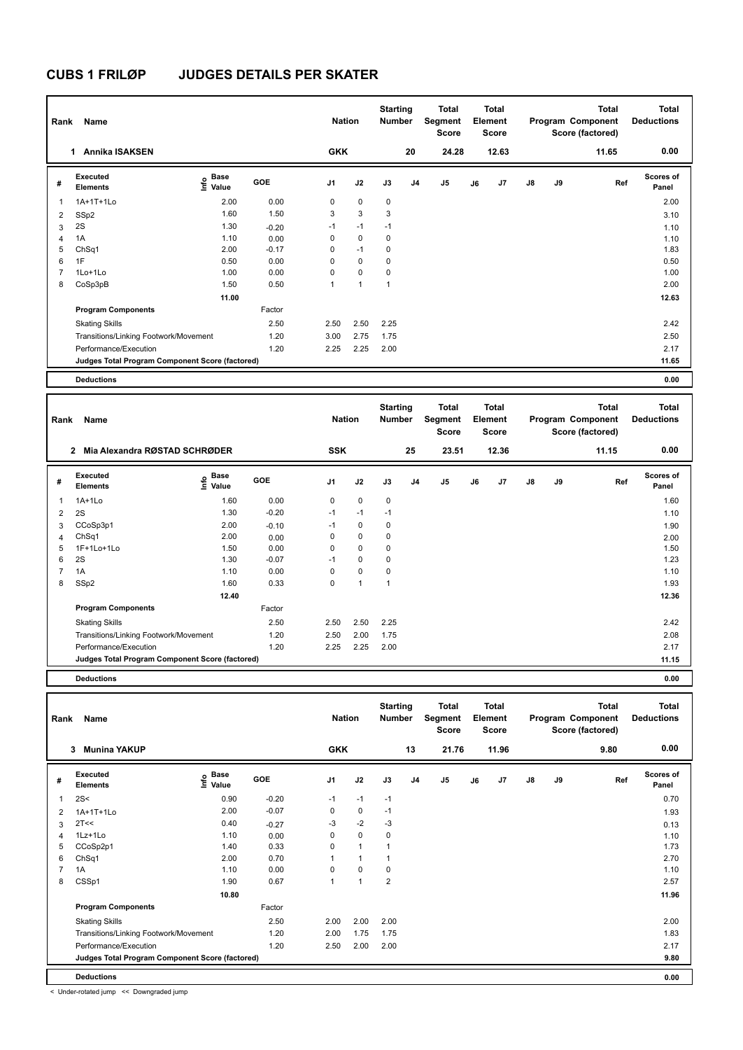| Rank           | Name                                            |                              |         | <b>Nation</b>  |             | <b>Starting</b><br><b>Number</b> |                | Total<br>Segment<br><b>Score</b> |    | <b>Total</b><br>Element<br><b>Score</b> |               |    | <b>Total</b><br>Program Component<br>Score (factored) | <b>Total</b><br><b>Deductions</b> |
|----------------|-------------------------------------------------|------------------------------|---------|----------------|-------------|----------------------------------|----------------|----------------------------------|----|-----------------------------------------|---------------|----|-------------------------------------------------------|-----------------------------------|
|                | <b>Annika ISAKSEN</b><br>1                      |                              |         | <b>GKK</b>     |             |                                  | 20             | 24.28                            |    | 12.63                                   |               |    | 11.65                                                 | 0.00                              |
| #              | Executed<br><b>Elements</b>                     | <b>Base</b><br>Info<br>Value | GOE     | J <sub>1</sub> | J2          | J3                               | J <sub>4</sub> | J5                               | J6 | J7                                      | $\mathsf{J}8$ | J9 | Ref                                                   | <b>Scores of</b><br>Panel         |
| 1              | 1A+1T+1Lo                                       | 2.00                         | 0.00    | 0              | $\mathbf 0$ | 0                                |                |                                  |    |                                         |               |    |                                                       | 2.00                              |
| 2              | SSp2                                            | 1.60                         | 1.50    | 3              | 3           | 3                                |                |                                  |    |                                         |               |    |                                                       | 3.10                              |
| 3              | 2S                                              | 1.30                         | $-0.20$ | $-1$           | $-1$        | $-1$                             |                |                                  |    |                                         |               |    |                                                       | 1.10                              |
| 4              | 1A                                              | 1.10                         | 0.00    | 0              | 0           | 0                                |                |                                  |    |                                         |               |    |                                                       | 1.10                              |
| 5              | ChSq1                                           | 2.00                         | $-0.17$ | 0              | $-1$        | 0                                |                |                                  |    |                                         |               |    |                                                       | 1.83                              |
| 6              | 1F                                              | 0.50                         | 0.00    | 0              | $\mathbf 0$ | 0                                |                |                                  |    |                                         |               |    |                                                       | 0.50                              |
| $\overline{7}$ | $1$ Lo $+1$ Lo                                  | 1.00                         | 0.00    | 0              | 0           | 0                                |                |                                  |    |                                         |               |    |                                                       | 1.00                              |
| 8              | CoSp3pB                                         | 1.50                         | 0.50    | 1              | 1           | 1                                |                |                                  |    |                                         |               |    |                                                       | 2.00                              |
|                |                                                 | 11.00                        |         |                |             |                                  |                |                                  |    |                                         |               |    |                                                       | 12.63                             |
|                | <b>Program Components</b>                       |                              | Factor  |                |             |                                  |                |                                  |    |                                         |               |    |                                                       |                                   |
|                | <b>Skating Skills</b>                           |                              | 2.50    | 2.50           | 2.50        | 2.25                             |                |                                  |    |                                         |               |    |                                                       | 2.42                              |
|                | Transitions/Linking Footwork/Movement           |                              | 1.20    | 3.00           | 2.75        | 1.75                             |                |                                  |    |                                         |               |    |                                                       | 2.50                              |
|                | Performance/Execution                           |                              | 1.20    | 2.25           | 2.25        | 2.00                             |                |                                  |    |                                         |               |    |                                                       | 2.17                              |
|                | Judges Total Program Component Score (factored) |                              |         |                |             |                                  |                |                                  |    |                                         |               |    |                                                       | 11.65                             |
|                | <b>Deductions</b>                               |                              |         |                |             |                                  |                |                                  |    |                                         |               |    |                                                       | 0.00                              |

| Rank | Name                                            |                                  |            | <b>Nation</b>  |                | <b>Starting</b><br><b>Number</b> |    | Total<br>Segment<br><b>Score</b> |    | Total<br>Element<br><b>Score</b> |               |    | <b>Total</b><br>Program Component<br>Score (factored) | <b>Total</b><br><b>Deductions</b> |
|------|-------------------------------------------------|----------------------------------|------------|----------------|----------------|----------------------------------|----|----------------------------------|----|----------------------------------|---------------|----|-------------------------------------------------------|-----------------------------------|
|      | Mia Alexandra RØSTAD SCHRØDER<br>$\overline{2}$ |                                  |            | <b>SSK</b>     |                |                                  | 25 | 23.51                            |    | 12.36                            |               |    | 11.15                                                 | 0.00                              |
| #    | Executed<br><b>Elements</b>                     | <b>Base</b><br>e Base<br>⊆ Value | <b>GOE</b> | J <sub>1</sub> | J2             | J3                               | J4 | J5                               | J6 | J7                               | $\mathsf{J}8$ | J9 | Ref                                                   | <b>Scores of</b><br>Panel         |
| 1    | $1A+1Lo$                                        | 1.60                             | 0.00       | 0              | $\mathbf 0$    | 0                                |    |                                  |    |                                  |               |    |                                                       | 1.60                              |
| 2    | 2S                                              | 1.30                             | $-0.20$    | $-1$           | $-1$           | $-1$                             |    |                                  |    |                                  |               |    |                                                       | 1.10                              |
| 3    | CCoSp3p1                                        | 2.00                             | $-0.10$    | $-1$           | $\mathbf 0$    | 0                                |    |                                  |    |                                  |               |    |                                                       | 1.90                              |
| 4    | ChSq1                                           | 2.00                             | 0.00       | 0              | $\mathbf 0$    | 0                                |    |                                  |    |                                  |               |    |                                                       | 2.00                              |
| 5    | 1F+1Lo+1Lo                                      | 1.50                             | 0.00       | 0              | $\mathbf 0$    | 0                                |    |                                  |    |                                  |               |    |                                                       | 1.50                              |
| 6    | 2S                                              | 1.30                             | $-0.07$    | $-1$           | $\mathbf 0$    | 0                                |    |                                  |    |                                  |               |    |                                                       | 1.23                              |
| 7    | 1A                                              | 1.10                             | 0.00       | $\Omega$       | $\mathbf 0$    | 0                                |    |                                  |    |                                  |               |    |                                                       | 1.10                              |
| 8    | SSp2                                            | 1.60                             | 0.33       | 0              | $\overline{ }$ | 1                                |    |                                  |    |                                  |               |    |                                                       | 1.93                              |
|      |                                                 | 12.40                            |            |                |                |                                  |    |                                  |    |                                  |               |    |                                                       | 12.36                             |
|      | <b>Program Components</b>                       |                                  | Factor     |                |                |                                  |    |                                  |    |                                  |               |    |                                                       |                                   |
|      | <b>Skating Skills</b>                           |                                  | 2.50       | 2.50           | 2.50           | 2.25                             |    |                                  |    |                                  |               |    |                                                       | 2.42                              |
|      | Transitions/Linking Footwork/Movement           |                                  | 1.20       | 2.50           | 2.00           | 1.75                             |    |                                  |    |                                  |               |    |                                                       | 2.08                              |
|      | Performance/Execution                           |                                  | 1.20       | 2.25           | 2.25           | 2.00                             |    |                                  |    |                                  |               |    |                                                       | 2.17                              |
|      | Judges Total Program Component Score (factored) |                                  |            |                |                |                                  |    |                                  |    |                                  |               |    |                                                       | 11.15                             |
|      |                                                 |                                  |            |                |                |                                  |    |                                  |    |                                  |               |    |                                                       |                                   |

**Deductions 0.00**

| Rank | Name                                            |                                  |         | <b>Nation</b>  |                | <b>Starting</b><br><b>Number</b> |                | <b>Total</b><br>Segment<br><b>Score</b> |    | <b>Total</b><br>Element<br><b>Score</b> |               |    | <b>Total</b><br>Program Component<br>Score (factored) | <b>Total</b><br><b>Deductions</b> |
|------|-------------------------------------------------|----------------------------------|---------|----------------|----------------|----------------------------------|----------------|-----------------------------------------|----|-----------------------------------------|---------------|----|-------------------------------------------------------|-----------------------------------|
|      | <b>Munina YAKUP</b><br>3                        |                                  |         | <b>GKK</b>     |                |                                  | 13             | 21.76                                   |    | 11.96                                   |               |    | 9.80                                                  | 0.00                              |
| #    | <b>Executed</b><br><b>Elements</b>              | <b>Base</b><br>e Base<br>⊆ Value | GOE     | J <sub>1</sub> | J2             | J3                               | J <sub>4</sub> | J <sub>5</sub>                          | J6 | J7                                      | $\mathsf{J}8$ | J9 | Ref                                                   | <b>Scores of</b><br>Panel         |
| 1    | 2S<                                             | 0.90                             | $-0.20$ | $-1$           | $-1$           | $-1$                             |                |                                         |    |                                         |               |    |                                                       | 0.70                              |
| 2    | 1A+1T+1Lo                                       | 2.00                             | $-0.07$ | 0              | 0              | $-1$                             |                |                                         |    |                                         |               |    |                                                       | 1.93                              |
| 3    | 2T<<                                            | 0.40                             | $-0.27$ | $-3$           | $-2$           | $-3$                             |                |                                         |    |                                         |               |    |                                                       | 0.13                              |
| 4    | $1Lz+1Lo$                                       | 1.10                             | 0.00    | 0              | $\mathbf 0$    | 0                                |                |                                         |    |                                         |               |    |                                                       | 1.10                              |
| 5    | CCoSp2p1                                        | 1.40                             | 0.33    | 0              | $\mathbf{1}$   |                                  |                |                                         |    |                                         |               |    |                                                       | 1.73                              |
| 6    | ChSq1                                           | 2.00                             | 0.70    | 1              | $\overline{1}$ |                                  |                |                                         |    |                                         |               |    |                                                       | 2.70                              |
|      | 1A                                              | 1.10                             | 0.00    | 0              | $\mathbf 0$    | 0                                |                |                                         |    |                                         |               |    |                                                       | 1.10                              |
| 8    | CSSp1                                           | 1.90                             | 0.67    | $\overline{1}$ | $\overline{1}$ | $\overline{2}$                   |                |                                         |    |                                         |               |    |                                                       | 2.57                              |
|      |                                                 | 10.80                            |         |                |                |                                  |                |                                         |    |                                         |               |    |                                                       | 11.96                             |
|      | <b>Program Components</b>                       |                                  | Factor  |                |                |                                  |                |                                         |    |                                         |               |    |                                                       |                                   |
|      | <b>Skating Skills</b>                           |                                  | 2.50    | 2.00           | 2.00           | 2.00                             |                |                                         |    |                                         |               |    |                                                       | 2.00                              |
|      | Transitions/Linking Footwork/Movement           |                                  | 1.20    | 2.00           | 1.75           | 1.75                             |                |                                         |    |                                         |               |    |                                                       | 1.83                              |
|      | Performance/Execution                           |                                  | 1.20    | 2.50           | 2.00           | 2.00                             |                |                                         |    |                                         |               |    |                                                       | 2.17                              |
|      | Judges Total Program Component Score (factored) |                                  |         |                |                |                                  |                |                                         |    |                                         |               |    |                                                       | 9.80                              |
|      | <b>Deductions</b>                               |                                  |         |                |                |                                  |                |                                         |    |                                         |               |    |                                                       | 0.00                              |

< Under-rotated jump << Downgraded jump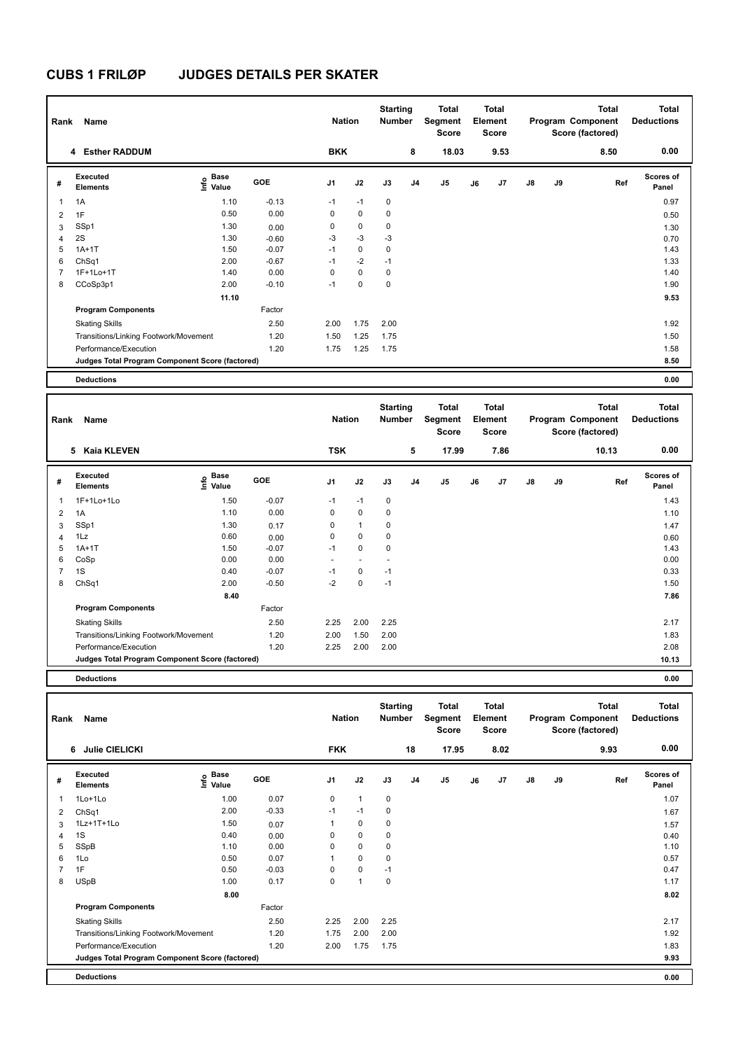| Rank                     | Name                                            |                           |         | <b>Nation</b>  |             | <b>Starting</b><br><b>Number</b> |                | <b>Total</b><br>Segment<br><b>Score</b> |    | Total<br>Element<br><b>Score</b> |               |    | <b>Total</b><br>Program Component<br>Score (factored) | <b>Total</b><br><b>Deductions</b> |
|--------------------------|-------------------------------------------------|---------------------------|---------|----------------|-------------|----------------------------------|----------------|-----------------------------------------|----|----------------------------------|---------------|----|-------------------------------------------------------|-----------------------------------|
|                          | 4 Esther RADDUM                                 |                           |         | <b>BKK</b>     |             |                                  | 8              | 18.03                                   |    | 9.53                             |               |    | 8.50                                                  | 0.00                              |
| #                        | Executed<br><b>Elements</b>                     | <b>Base</b><br>e<br>Value | GOE     | J <sub>1</sub> | J2          | J3                               | J <sub>4</sub> | J5                                      | J6 | J <sub>7</sub>                   | $\mathsf{J}8$ | J9 | Ref                                                   | <b>Scores of</b><br>Panel         |
| $\overline{\phantom{a}}$ | 1A                                              | 1.10                      | $-0.13$ | $-1$           | $-1$        | 0                                |                |                                         |    |                                  |               |    |                                                       | 0.97                              |
| $\overline{2}$           | 1F                                              | 0.50                      | 0.00    | 0              | $\mathbf 0$ | $\mathbf 0$                      |                |                                         |    |                                  |               |    |                                                       | 0.50                              |
| 3                        | SSp1                                            | 1.30                      | 0.00    | 0              | 0           | $\mathbf 0$                      |                |                                         |    |                                  |               |    |                                                       | 1.30                              |
| $\overline{4}$           | 2S                                              | 1.30                      | $-0.60$ | $-3$           | $-3$        | $-3$                             |                |                                         |    |                                  |               |    |                                                       | 0.70                              |
| 5                        | $1A+1T$                                         | 1.50                      | $-0.07$ | $-1$           | $\mathbf 0$ | 0                                |                |                                         |    |                                  |               |    |                                                       | 1.43                              |
| 6                        | ChSq1                                           | 2.00                      | $-0.67$ | $-1$           | $-2$        | $-1$                             |                |                                         |    |                                  |               |    |                                                       | 1.33                              |
| $\overline{7}$           | 1F+1Lo+1T                                       | 1.40                      | 0.00    | 0              | $\mathbf 0$ | $\mathbf 0$                      |                |                                         |    |                                  |               |    |                                                       | 1.40                              |
| 8                        | CCoSp3p1                                        | 2.00                      | $-0.10$ | $-1$           | $\mathbf 0$ | $\mathbf 0$                      |                |                                         |    |                                  |               |    |                                                       | 1.90                              |
|                          |                                                 | 11.10                     |         |                |             |                                  |                |                                         |    |                                  |               |    |                                                       | 9.53                              |
|                          | <b>Program Components</b>                       |                           | Factor  |                |             |                                  |                |                                         |    |                                  |               |    |                                                       |                                   |
|                          | <b>Skating Skills</b>                           |                           | 2.50    | 2.00           | 1.75        | 2.00                             |                |                                         |    |                                  |               |    |                                                       | 1.92                              |
|                          | Transitions/Linking Footwork/Movement           |                           | 1.20    | 1.50           | 1.25        | 1.75                             |                |                                         |    |                                  |               |    |                                                       | 1.50                              |
|                          | Performance/Execution                           |                           | 1.20    | 1.75           | 1.25        | 1.75                             |                |                                         |    |                                  |               |    |                                                       | 1.58                              |
|                          | Judges Total Program Component Score (factored) |                           |         |                |             |                                  |                |                                         |    |                                  |               |    |                                                       | 8.50                              |
|                          | <b>Deductions</b>                               |                           |         |                |             |                                  |                |                                         |    |                                  |               |    |                                                       | 0.00                              |

| Rank           | Name                                            |                           |            | <b>Nation</b>            |                          | <b>Starting</b><br>Number |    | <b>Total</b><br>Segment<br><b>Score</b> |    | Total<br>Element<br><b>Score</b> |               |    | <b>Total</b><br>Program Component<br>Score (factored) | <b>Total</b><br><b>Deductions</b> |
|----------------|-------------------------------------------------|---------------------------|------------|--------------------------|--------------------------|---------------------------|----|-----------------------------------------|----|----------------------------------|---------------|----|-------------------------------------------------------|-----------------------------------|
|                | Kaia KLEVEN<br>5.                               |                           |            | <b>TSK</b>               |                          |                           | 5  | 17.99                                   |    | 7.86                             |               |    | 10.13                                                 | 0.00                              |
| #              | Executed<br><b>Elements</b>                     | Base<br>o Base<br>⊆ Value | <b>GOE</b> | J <sub>1</sub>           | J2                       | J3                        | J4 | J <sub>5</sub>                          | J6 | J7                               | $\mathsf{J}8$ | J9 | Ref                                                   | <b>Scores of</b><br>Panel         |
| $\mathbf{1}$   | 1F+1Lo+1Lo                                      | 1.50                      | $-0.07$    | $-1$                     | $-1$                     | 0                         |    |                                         |    |                                  |               |    |                                                       | 1.43                              |
| $\overline{2}$ | 1A                                              | 1.10                      | 0.00       | 0                        | $\mathbf 0$              | $\mathbf 0$               |    |                                         |    |                                  |               |    |                                                       | 1.10                              |
| 3              | SSp1                                            | 1.30                      | 0.17       | $\Omega$                 | $\mathbf{1}$             | $\mathbf 0$               |    |                                         |    |                                  |               |    |                                                       | 1.47                              |
| $\overline{4}$ | 1Lz                                             | 0.60                      | 0.00       | 0                        | $\mathbf 0$              | 0                         |    |                                         |    |                                  |               |    |                                                       | 0.60                              |
| 5              | $1A+1T$                                         | 1.50                      | $-0.07$    | $-1$                     | $\mathbf 0$              | $\mathbf 0$               |    |                                         |    |                                  |               |    |                                                       | 1.43                              |
| 6              | CoSp                                            | 0.00                      | 0.00       | $\overline{\phantom{0}}$ | $\overline{\phantom{a}}$ |                           |    |                                         |    |                                  |               |    |                                                       | 0.00                              |
| 7              | 1S                                              | 0.40                      | $-0.07$    | $-1$                     | $\mathbf 0$              | $-1$                      |    |                                         |    |                                  |               |    |                                                       | 0.33                              |
| 8              | ChSq1                                           | 2.00                      | $-0.50$    | $-2$                     | $\mathbf 0$              | $-1$                      |    |                                         |    |                                  |               |    |                                                       | 1.50                              |
|                |                                                 | 8.40                      |            |                          |                          |                           |    |                                         |    |                                  |               |    |                                                       | 7.86                              |
|                | <b>Program Components</b>                       |                           | Factor     |                          |                          |                           |    |                                         |    |                                  |               |    |                                                       |                                   |
|                | <b>Skating Skills</b>                           |                           | 2.50       | 2.25                     | 2.00                     | 2.25                      |    |                                         |    |                                  |               |    |                                                       | 2.17                              |
|                | Transitions/Linking Footwork/Movement           |                           | 1.20       | 2.00                     | 1.50                     | 2.00                      |    |                                         |    |                                  |               |    |                                                       | 1.83                              |
|                | Performance/Execution                           |                           | 1.20       | 2.25                     | 2.00                     | 2.00                      |    |                                         |    |                                  |               |    |                                                       | 2.08                              |
|                | Judges Total Program Component Score (factored) |                           |            |                          |                          |                           |    |                                         |    |                                  |               |    |                                                       | 10.13                             |
|                |                                                 |                           |            |                          |                          |                           |    |                                         |    |                                  |               |    |                                                       |                                   |

| Rank | Name                                            |                              | <b>Nation</b> |                | <b>Starting</b><br><b>Number</b> |             | Total<br>Segment<br>Score |                | <b>Total</b><br>Element<br><b>Score</b> |                |    | <b>Total</b><br>Program Component<br>Score (factored) | <b>Total</b><br><b>Deductions</b> |                           |
|------|-------------------------------------------------|------------------------------|---------------|----------------|----------------------------------|-------------|---------------------------|----------------|-----------------------------------------|----------------|----|-------------------------------------------------------|-----------------------------------|---------------------------|
|      | 6<br><b>Julie CIELICKI</b>                      |                              |               | <b>FKK</b>     |                                  |             | 18                        | 17.95          |                                         | 8.02           |    |                                                       | 9.93                              | 0.00                      |
| #    | <b>Executed</b><br><b>Elements</b>              | 은 <sup>Base</sup><br>트 Value | GOE           | J <sub>1</sub> | J2                               | J3          | J <sub>4</sub>            | J <sub>5</sub> | J6                                      | J <sub>7</sub> | J8 | J9                                                    | Ref                               | <b>Scores of</b><br>Panel |
| 1    | 1Lo+1Lo                                         | 1.00                         | 0.07          | 0              | $\mathbf{1}$                     | 0           |                           |                |                                         |                |    |                                                       |                                   | 1.07                      |
| 2    | ChSq1                                           | 2.00                         | $-0.33$       | $-1$           | $-1$                             | 0           |                           |                |                                         |                |    |                                                       |                                   | 1.67                      |
| 3    | 1Lz+1T+1Lo                                      | 1.50                         | 0.07          |                | $\mathbf 0$                      | $\mathbf 0$ |                           |                |                                         |                |    |                                                       |                                   | 1.57                      |
| 4    | 1S                                              | 0.40                         | 0.00          | 0              | $\mathbf 0$                      | $\mathbf 0$ |                           |                |                                         |                |    |                                                       |                                   | 0.40                      |
| 5    | SSpB                                            | 1.10                         | 0.00          | 0              | $\mathbf 0$                      | 0           |                           |                |                                         |                |    |                                                       |                                   | 1.10                      |
| 6    | 1Lo                                             | 0.50                         | 0.07          |                | $\pmb{0}$                        | 0           |                           |                |                                         |                |    |                                                       |                                   | 0.57                      |
|      | 1F                                              | 0.50                         | $-0.03$       | 0              | $\mathbf 0$                      | $-1$        |                           |                |                                         |                |    |                                                       |                                   | 0.47                      |
| 8    | <b>USpB</b>                                     | 1.00                         | 0.17          | 0              | $\mathbf{1}$                     | 0           |                           |                |                                         |                |    |                                                       |                                   | 1.17                      |
|      |                                                 | 8.00                         |               |                |                                  |             |                           |                |                                         |                |    |                                                       |                                   | 8.02                      |
|      | <b>Program Components</b>                       |                              | Factor        |                |                                  |             |                           |                |                                         |                |    |                                                       |                                   |                           |
|      | <b>Skating Skills</b>                           |                              | 2.50          | 2.25           | 2.00                             | 2.25        |                           |                |                                         |                |    |                                                       |                                   | 2.17                      |
|      | Transitions/Linking Footwork/Movement           |                              | 1.20          | 1.75           | 2.00                             | 2.00        |                           |                |                                         |                |    |                                                       |                                   | 1.92                      |
|      | Performance/Execution                           |                              | 1.20          | 2.00           | 1.75                             | 1.75        |                           |                |                                         |                |    |                                                       |                                   | 1.83                      |
|      | Judges Total Program Component Score (factored) |                              |               |                |                                  |             |                           |                |                                         |                |    |                                                       |                                   | 9.93                      |
|      | <b>Deductions</b>                               |                              |               |                |                                  |             |                           |                |                                         |                |    |                                                       |                                   | 0.00                      |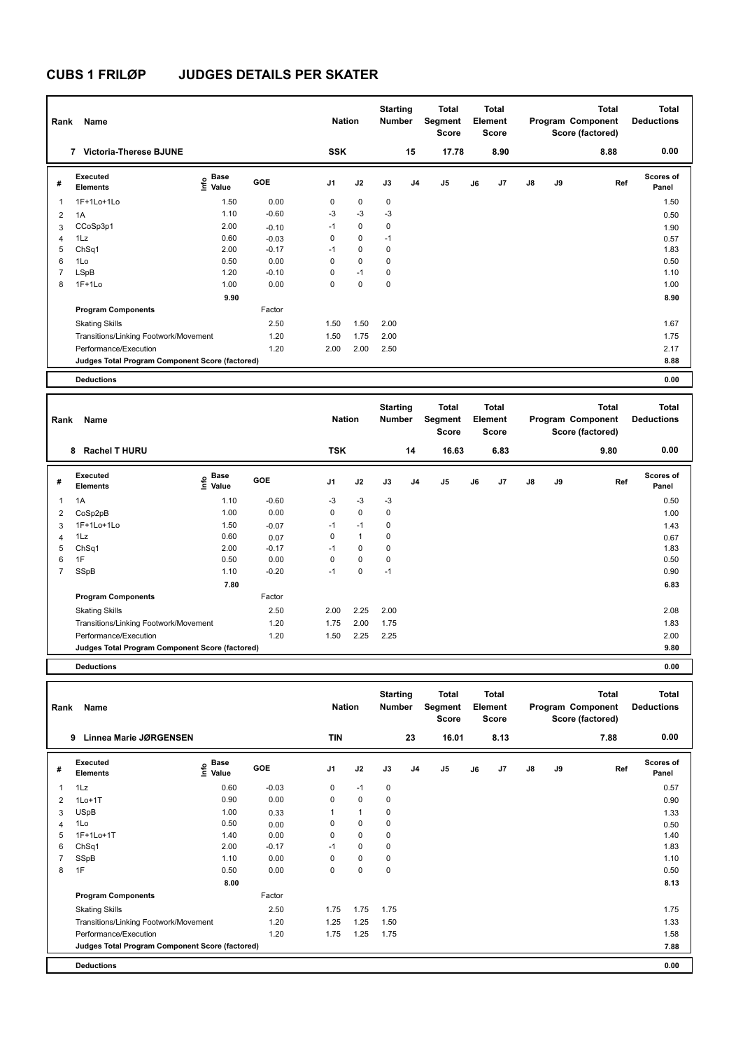| Rank                     | Name                                            |                           |         | <b>Nation</b>  |             | <b>Starting</b><br><b>Number</b> |                | Total<br>Segment<br><b>Score</b> |    | Total<br>Element<br><b>Score</b> |               |    | <b>Total</b><br>Program Component<br>Score (factored) | <b>Total</b><br><b>Deductions</b> |
|--------------------------|-------------------------------------------------|---------------------------|---------|----------------|-------------|----------------------------------|----------------|----------------------------------|----|----------------------------------|---------------|----|-------------------------------------------------------|-----------------------------------|
|                          | <b>Victoria-Therese BJUNE</b><br>$\overline{7}$ |                           |         | <b>SSK</b>     |             |                                  | 15             | 17.78                            |    | 8.90                             |               |    | 8.88                                                  | 0.00                              |
| #                        | Executed<br><b>Elements</b>                     | <b>Base</b><br>e<br>Value | GOE     | J <sub>1</sub> | J2          | J3                               | J <sub>4</sub> | J5                               | J6 | J <sub>7</sub>                   | $\mathsf{J}8$ | J9 | Ref                                                   | <b>Scores of</b><br>Panel         |
| $\overline{\phantom{a}}$ | 1F+1Lo+1Lo                                      | 1.50                      | 0.00    | 0              | $\mathbf 0$ | $\mathbf 0$                      |                |                                  |    |                                  |               |    |                                                       | 1.50                              |
| $\overline{2}$           | 1A                                              | 1.10                      | $-0.60$ | $-3$           | $-3$        | $-3$                             |                |                                  |    |                                  |               |    |                                                       | 0.50                              |
| 3                        | CCoSp3p1                                        | 2.00                      | $-0.10$ | $-1$           | $\mathbf 0$ | $\mathbf 0$                      |                |                                  |    |                                  |               |    |                                                       | 1.90                              |
| $\overline{4}$           | 1Lz                                             | 0.60                      | $-0.03$ | 0              | $\mathbf 0$ | $-1$                             |                |                                  |    |                                  |               |    |                                                       | 0.57                              |
| 5                        | ChSq1                                           | 2.00                      | $-0.17$ | $-1$           | $\mathbf 0$ | $\mathbf 0$                      |                |                                  |    |                                  |               |    |                                                       | 1.83                              |
| 6                        | 1Lo                                             | 0.50                      | 0.00    | 0              | $\mathbf 0$ | $\mathbf 0$                      |                |                                  |    |                                  |               |    |                                                       | 0.50                              |
| $\overline{7}$           | LSpB                                            | 1.20                      | $-0.10$ | 0              | $-1$        | 0                                |                |                                  |    |                                  |               |    |                                                       | 1.10                              |
| 8                        | $1F+1Lo$                                        | 1.00                      | 0.00    | 0              | $\mathbf 0$ | $\mathbf 0$                      |                |                                  |    |                                  |               |    |                                                       | 1.00                              |
|                          |                                                 | 9.90                      |         |                |             |                                  |                |                                  |    |                                  |               |    |                                                       | 8.90                              |
|                          | <b>Program Components</b>                       |                           | Factor  |                |             |                                  |                |                                  |    |                                  |               |    |                                                       |                                   |
|                          | <b>Skating Skills</b>                           |                           | 2.50    | 1.50           | 1.50        | 2.00                             |                |                                  |    |                                  |               |    |                                                       | 1.67                              |
|                          | Transitions/Linking Footwork/Movement           |                           | 1.20    | 1.50           | 1.75        | 2.00                             |                |                                  |    |                                  |               |    |                                                       | 1.75                              |
|                          | Performance/Execution                           |                           | 1.20    | 2.00           | 2.00        | 2.50                             |                |                                  |    |                                  |               |    |                                                       | 2.17                              |
|                          | Judges Total Program Component Score (factored) |                           |         |                |             |                                  |                |                                  |    |                                  |               |    |                                                       | 8.88                              |
|                          | <b>Deductions</b>                               |                           |         |                |             |                                  |                |                                  |    |                                  |               |    |                                                       | 0.00                              |

| Rank | Name                                            |                                  |            | <b>Nation</b>  |              | <b>Starting</b><br><b>Number</b> |    | Total<br>Segment<br><b>Score</b> |    | Total<br>Element<br>Score |               |    | <b>Total</b><br>Program Component<br>Score (factored) | <b>Total</b><br><b>Deductions</b> |
|------|-------------------------------------------------|----------------------------------|------------|----------------|--------------|----------------------------------|----|----------------------------------|----|---------------------------|---------------|----|-------------------------------------------------------|-----------------------------------|
|      | 8 Rachel T HURU                                 |                                  |            | <b>TSK</b>     |              |                                  | 14 | 16.63                            |    | 6.83                      |               |    | 9.80                                                  | 0.00                              |
| #    | Executed<br><b>Elements</b>                     | <b>Base</b><br>e Base<br>⊆ Value | <b>GOE</b> | J <sub>1</sub> | J2           | J3                               | J4 | J <sub>5</sub>                   | J6 | J <sub>7</sub>            | $\mathsf{J}8$ | J9 | Ref                                                   | Scores of<br>Panel                |
| 1    | 1A                                              | 1.10                             | $-0.60$    | $-3$           | $-3$         | $-3$                             |    |                                  |    |                           |               |    |                                                       | 0.50                              |
| 2    | CoSp2pB                                         | 1.00                             | 0.00       | 0              | 0            | 0                                |    |                                  |    |                           |               |    |                                                       | 1.00                              |
| 3    | 1F+1Lo+1Lo                                      | 1.50                             | $-0.07$    | $-1$           | $-1$         | 0                                |    |                                  |    |                           |               |    |                                                       | 1.43                              |
| 4    | 1Lz                                             | 0.60                             | 0.07       | 0              | $\mathbf{1}$ | 0                                |    |                                  |    |                           |               |    |                                                       | 0.67                              |
| 5    | ChSq1                                           | 2.00                             | $-0.17$    | $-1$           | $\mathbf 0$  | 0                                |    |                                  |    |                           |               |    |                                                       | 1.83                              |
| 6    | 1F                                              | 0.50                             | 0.00       | $\Omega$       | $\mathbf 0$  | 0                                |    |                                  |    |                           |               |    |                                                       | 0.50                              |
| 7    | SSpB                                            | 1.10                             | $-0.20$    | $-1$           | $\mathbf 0$  | $-1$                             |    |                                  |    |                           |               |    |                                                       | 0.90                              |
|      |                                                 | 7.80                             |            |                |              |                                  |    |                                  |    |                           |               |    |                                                       | 6.83                              |
|      | <b>Program Components</b>                       |                                  | Factor     |                |              |                                  |    |                                  |    |                           |               |    |                                                       |                                   |
|      | <b>Skating Skills</b>                           |                                  | 2.50       | 2.00           | 2.25         | 2.00                             |    |                                  |    |                           |               |    |                                                       | 2.08                              |
|      | Transitions/Linking Footwork/Movement           |                                  | 1.20       | 1.75           | 2.00         | 1.75                             |    |                                  |    |                           |               |    |                                                       | 1.83                              |
|      | Performance/Execution                           |                                  | 1.20       | 1.50           | 2.25         | 2.25                             |    |                                  |    |                           |               |    |                                                       | 2.00                              |
|      | Judges Total Program Component Score (factored) |                                  |            |                |              |                                  |    |                                  |    |                           |               |    |                                                       | 9.80                              |

| Rank | Name                                            |                                      |            | <b>Nation</b>  |              | <b>Starting</b><br><b>Number</b> |                | Total<br>Segment<br>Score |    | <b>Total</b><br>Element<br><b>Score</b> |               |    | <b>Total</b><br>Program Component<br>Score (factored) | Total<br><b>Deductions</b> |
|------|-------------------------------------------------|--------------------------------------|------------|----------------|--------------|----------------------------------|----------------|---------------------------|----|-----------------------------------------|---------------|----|-------------------------------------------------------|----------------------------|
|      | <b>Linnea Marie JØRGENSEN</b><br>9              |                                      |            | <b>TIN</b>     |              |                                  | 23             | 16.01                     |    | 8.13                                    |               |    | 7.88                                                  | 0.00                       |
| #    | Executed<br><b>Elements</b>                     | Base<br>e <sup>Base</sup><br>⊆ Value | <b>GOE</b> | J <sub>1</sub> | J2           | J3                               | J <sub>4</sub> | J5                        | J6 | J7                                      | $\mathsf{J}8$ | J9 | Ref                                                   | <b>Scores of</b><br>Panel  |
| 1    | 1Lz                                             | 0.60                                 | $-0.03$    | 0              | $-1$         | 0                                |                |                           |    |                                         |               |    |                                                       | 0.57                       |
| 2    | $1Lo+1T$                                        | 0.90                                 | 0.00       | 0              | 0            | 0                                |                |                           |    |                                         |               |    |                                                       | 0.90                       |
| 3    | <b>USpB</b>                                     | 1.00                                 | 0.33       |                | $\mathbf{1}$ | 0                                |                |                           |    |                                         |               |    |                                                       | 1.33                       |
| 4    | 1Lo                                             | 0.50                                 | 0.00       | 0              | $\mathbf 0$  | 0                                |                |                           |    |                                         |               |    |                                                       | 0.50                       |
| 5    | 1F+1Lo+1T                                       | 1.40                                 | 0.00       | 0              | $\mathbf 0$  | 0                                |                |                           |    |                                         |               |    |                                                       | 1.40                       |
| 6    | ChSq1                                           | 2.00                                 | $-0.17$    | $-1$           | $\mathbf 0$  | 0                                |                |                           |    |                                         |               |    |                                                       | 1.83                       |
|      | SSpB                                            | 1.10                                 | 0.00       | 0              | $\mathbf 0$  | 0                                |                |                           |    |                                         |               |    |                                                       | 1.10                       |
| 8    | 1F                                              | 0.50                                 | 0.00       | 0              | $\pmb{0}$    | $\mathbf 0$                      |                |                           |    |                                         |               |    |                                                       | 0.50                       |
|      |                                                 | 8.00                                 |            |                |              |                                  |                |                           |    |                                         |               |    |                                                       | 8.13                       |
|      | <b>Program Components</b>                       |                                      | Factor     |                |              |                                  |                |                           |    |                                         |               |    |                                                       |                            |
|      | <b>Skating Skills</b>                           |                                      | 2.50       | 1.75           | 1.75         | 1.75                             |                |                           |    |                                         |               |    |                                                       | 1.75                       |
|      | Transitions/Linking Footwork/Movement           |                                      | 1.20       | 1.25           | 1.25         | 1.50                             |                |                           |    |                                         |               |    |                                                       | 1.33                       |
|      | Performance/Execution                           |                                      | 1.20       | 1.75           | 1.25         | 1.75                             |                |                           |    |                                         |               |    |                                                       | 1.58                       |
|      | Judges Total Program Component Score (factored) |                                      |            |                |              |                                  |                |                           |    |                                         |               |    |                                                       | 7.88                       |
|      | <b>Deductions</b>                               |                                      |            |                |              |                                  |                |                           |    |                                         |               |    |                                                       | 0.00                       |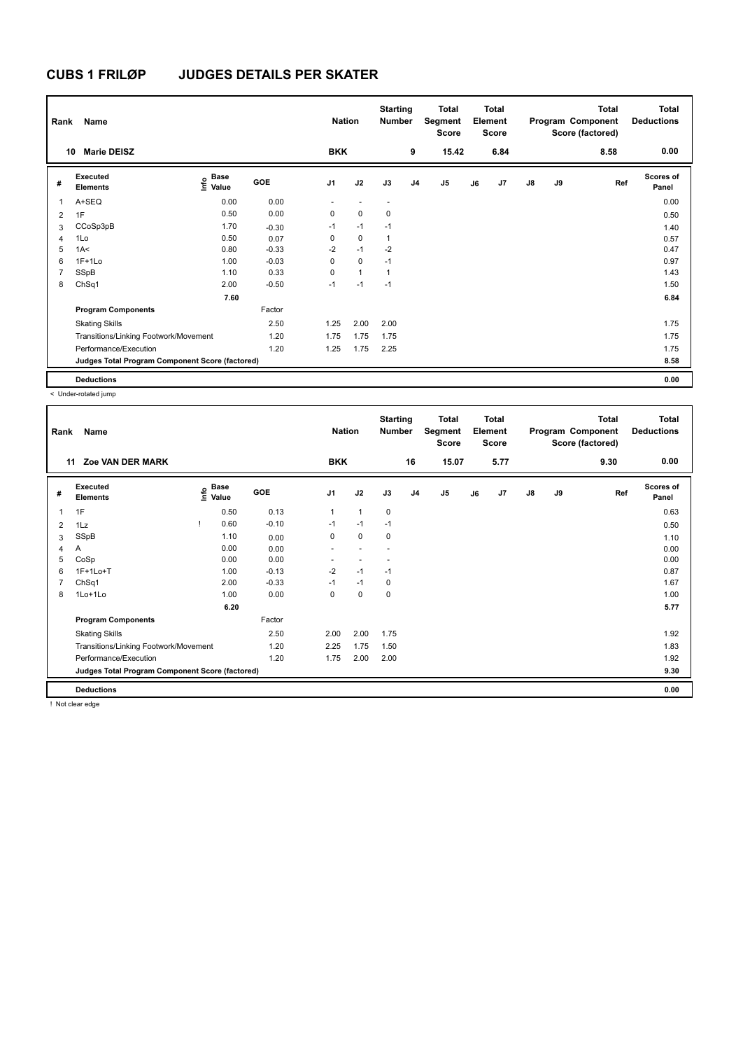| Rank           | Name                                            |                                  |            | <b>Nation</b>  |                | <b>Starting</b><br><b>Number</b> |                | <b>Total</b><br>Segment<br><b>Score</b> |    | <b>Total</b><br>Element<br><b>Score</b> |               |    | <b>Total</b><br>Program Component<br>Score (factored) | <b>Total</b><br><b>Deductions</b> |
|----------------|-------------------------------------------------|----------------------------------|------------|----------------|----------------|----------------------------------|----------------|-----------------------------------------|----|-----------------------------------------|---------------|----|-------------------------------------------------------|-----------------------------------|
| 10             | <b>Marie DEISZ</b>                              |                                  |            | <b>BKK</b>     |                |                                  | 9              | 15.42                                   |    | 6.84                                    |               |    | 8.58                                                  | 0.00                              |
| #              | Executed<br><b>Elements</b>                     | <b>Base</b><br>o Base<br>⊆ Value | <b>GOE</b> | J <sub>1</sub> | J2             | J3                               | J <sub>4</sub> | J <sub>5</sub>                          | J6 | J7                                      | $\mathsf{J}8$ | J9 | Ref                                                   | <b>Scores of</b><br>Panel         |
| 1              | A+SEQ                                           | 0.00                             | 0.00       | ٠              |                | $\blacksquare$                   |                |                                         |    |                                         |               |    |                                                       | 0.00                              |
| $\overline{2}$ | 1F                                              | 0.50                             | 0.00       | 0              | $\mathbf 0$    | 0                                |                |                                         |    |                                         |               |    |                                                       | 0.50                              |
| 3              | CCoSp3pB                                        | 1.70                             | $-0.30$    | $-1$           | $-1$           | $-1$                             |                |                                         |    |                                         |               |    |                                                       | 1.40                              |
| $\overline{4}$ | 1Lo                                             | 0.50                             | 0.07       | 0              | $\mathbf 0$    | $\overline{1}$                   |                |                                         |    |                                         |               |    |                                                       | 0.57                              |
| 5              | 1A<                                             | 0.80                             | $-0.33$    | $-2$           | $-1$           | $-2$                             |                |                                         |    |                                         |               |    |                                                       | 0.47                              |
| 6              | $1F+1Lo$                                        | 1.00                             | $-0.03$    | 0              | $\mathbf 0$    | $-1$                             |                |                                         |    |                                         |               |    |                                                       | 0.97                              |
| 7              | SSpB                                            | 1.10                             | 0.33       | 0              | $\overline{1}$ | $\overline{1}$                   |                |                                         |    |                                         |               |    |                                                       | 1.43                              |
| 8              | ChSq1                                           | 2.00                             | $-0.50$    | $-1$           | $-1$           | $-1$                             |                |                                         |    |                                         |               |    |                                                       | 1.50                              |
|                |                                                 | 7.60                             |            |                |                |                                  |                |                                         |    |                                         |               |    |                                                       | 6.84                              |
|                | <b>Program Components</b>                       |                                  | Factor     |                |                |                                  |                |                                         |    |                                         |               |    |                                                       |                                   |
|                | <b>Skating Skills</b>                           |                                  | 2.50       | 1.25           | 2.00           | 2.00                             |                |                                         |    |                                         |               |    |                                                       | 1.75                              |
|                | Transitions/Linking Footwork/Movement           |                                  | 1.20       | 1.75           | 1.75           | 1.75                             |                |                                         |    |                                         |               |    |                                                       | 1.75                              |
|                | Performance/Execution                           |                                  | 1.20       | 1.25           | 1.75           | 2.25                             |                |                                         |    |                                         |               |    |                                                       | 1.75                              |
|                | Judges Total Program Component Score (factored) |                                  |            |                |                |                                  |                |                                         |    |                                         |               |    |                                                       | 8.58                              |
|                | <b>Deductions</b>                               |                                  |            |                |                |                                  |                |                                         |    |                                         |               |    |                                                       | 0.00                              |

< Under-rotated jump

| Rank | Name                                            |                                  |         | <b>Nation</b>  |              | <b>Starting</b><br><b>Number</b> |                | <b>Total</b><br>Segment<br><b>Score</b> |    | <b>Total</b><br>Element<br><b>Score</b> |               |    | <b>Total</b><br>Program Component<br>Score (factored) | Total<br><b>Deductions</b> |
|------|-------------------------------------------------|----------------------------------|---------|----------------|--------------|----------------------------------|----------------|-----------------------------------------|----|-----------------------------------------|---------------|----|-------------------------------------------------------|----------------------------|
| 11   | <b>Zoe VAN DER MARK</b>                         |                                  |         | <b>BKK</b>     |              |                                  | 16             | 15.07                                   |    | 5.77                                    |               |    | 9.30                                                  | 0.00                       |
| #    | Executed<br><b>Elements</b>                     | <b>Base</b><br>e Base<br>⊆ Value | GOE     | J <sub>1</sub> | J2           | J3                               | J <sub>4</sub> | J <sub>5</sub>                          | J6 | J7                                      | $\mathsf{J}8$ | J9 | Ref                                                   | <b>Scores of</b><br>Panel  |
| 1    | 1F                                              | 0.50                             | 0.13    | $\mathbf{1}$   | $\mathbf{1}$ | 0                                |                |                                         |    |                                         |               |    |                                                       | 0.63                       |
| 2    | 1Lz                                             | 0.60                             | $-0.10$ | $-1$           | $-1$         | $-1$                             |                |                                         |    |                                         |               |    |                                                       | 0.50                       |
| 3    | SSpB                                            | 1.10                             | 0.00    | 0              | $\mathbf 0$  | 0                                |                |                                         |    |                                         |               |    |                                                       | 1.10                       |
| 4    | A                                               | 0.00                             | 0.00    |                |              |                                  |                |                                         |    |                                         |               |    |                                                       | 0.00                       |
| 5    | CoSp                                            | 0.00                             | 0.00    |                | н.           |                                  |                |                                         |    |                                         |               |    |                                                       | 0.00                       |
| 6    | $1F+1Lo+T$                                      | 1.00                             | $-0.13$ | $-2$           | $-1$         | $-1$                             |                |                                         |    |                                         |               |    |                                                       | 0.87                       |
| 7    | ChSq1                                           | 2.00                             | $-0.33$ | $-1$           | $-1$         | 0                                |                |                                         |    |                                         |               |    |                                                       | 1.67                       |
| 8    | 1Lo+1Lo                                         | 1.00                             | 0.00    | 0              | 0            | 0                                |                |                                         |    |                                         |               |    |                                                       | 1.00                       |
|      |                                                 | 6.20                             |         |                |              |                                  |                |                                         |    |                                         |               |    |                                                       | 5.77                       |
|      | <b>Program Components</b>                       |                                  | Factor  |                |              |                                  |                |                                         |    |                                         |               |    |                                                       |                            |
|      | <b>Skating Skills</b>                           |                                  | 2.50    | 2.00           | 2.00         | 1.75                             |                |                                         |    |                                         |               |    |                                                       | 1.92                       |
|      | Transitions/Linking Footwork/Movement           |                                  | 1.20    | 2.25           | 1.75         | 1.50                             |                |                                         |    |                                         |               |    |                                                       | 1.83                       |
|      | Performance/Execution                           |                                  | 1.20    | 1.75           | 2.00         | 2.00                             |                |                                         |    |                                         |               |    |                                                       | 1.92                       |
|      | Judges Total Program Component Score (factored) |                                  |         |                |              |                                  |                |                                         |    |                                         |               |    |                                                       | 9.30                       |
|      | <b>Deductions</b>                               |                                  |         |                |              |                                  |                |                                         |    |                                         |               |    |                                                       | 0.00                       |

! Not clear edge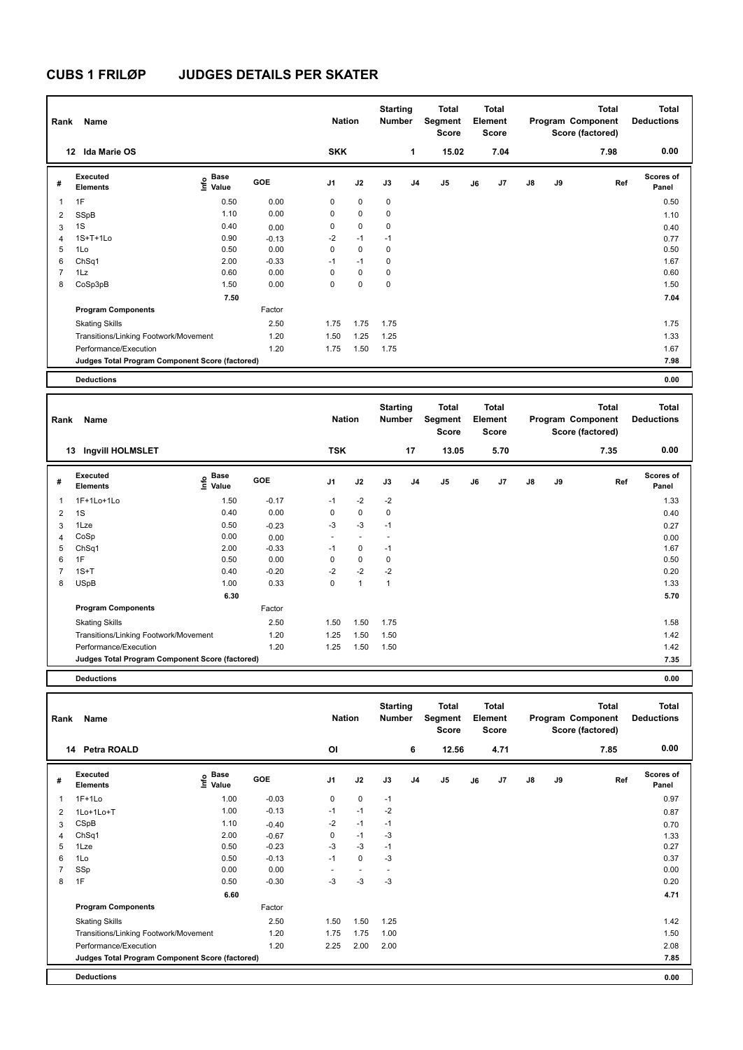| Rank                    | Name                                            |                              |            | <b>Nation</b>  |             | <b>Starting</b><br><b>Number</b> |                | <b>Total</b><br>Segment<br><b>Score</b> |    | Total<br>Element<br><b>Score</b> |               |    | <b>Total</b><br>Program Component<br>Score (factored) | <b>Total</b><br><b>Deductions</b> |
|-------------------------|-------------------------------------------------|------------------------------|------------|----------------|-------------|----------------------------------|----------------|-----------------------------------------|----|----------------------------------|---------------|----|-------------------------------------------------------|-----------------------------------|
|                         | <b>Ida Marie OS</b><br>12                       |                              |            | <b>SKK</b>     |             |                                  | 1              | 15.02                                   |    | 7.04                             |               |    | 7.98                                                  | 0.00                              |
| #                       | Executed<br><b>Elements</b>                     | <b>Base</b><br>١nfo<br>Value | <b>GOE</b> | J <sub>1</sub> | J2          | J3                               | J <sub>4</sub> | J5                                      | J6 | J <sub>7</sub>                   | $\mathsf{J}8$ | J9 | Ref                                                   | <b>Scores of</b><br>Panel         |
| $\overline{\mathbf{1}}$ | 1F                                              | 0.50                         | 0.00       | 0              | $\mathbf 0$ | $\mathbf 0$                      |                |                                         |    |                                  |               |    |                                                       | 0.50                              |
| $\overline{2}$          | SSpB                                            | 1.10                         | 0.00       | 0              | $\mathbf 0$ | $\mathbf 0$                      |                |                                         |    |                                  |               |    |                                                       | 1.10                              |
| 3                       | 1S                                              | 0.40                         | 0.00       | 0              | $\mathbf 0$ | $\mathbf 0$                      |                |                                         |    |                                  |               |    |                                                       | 0.40                              |
| $\overline{4}$          | $1S+T+1Lo$                                      | 0.90                         | $-0.13$    | $-2$           | $-1$        | $-1$                             |                |                                         |    |                                  |               |    |                                                       | 0.77                              |
| 5                       | 1Lo                                             | 0.50                         | 0.00       | 0              | $\mathbf 0$ | $\mathbf 0$                      |                |                                         |    |                                  |               |    |                                                       | 0.50                              |
| 6                       | ChSq1                                           | 2.00                         | $-0.33$    | $-1$           | $-1$        | $\mathbf 0$                      |                |                                         |    |                                  |               |    |                                                       | 1.67                              |
| $\overline{7}$          | 1Lz                                             | 0.60                         | 0.00       | $\Omega$       | $\mathbf 0$ | $\mathbf 0$                      |                |                                         |    |                                  |               |    |                                                       | 0.60                              |
| 8                       | CoSp3pB                                         | 1.50                         | 0.00       | 0              | $\mathbf 0$ | $\mathbf 0$                      |                |                                         |    |                                  |               |    |                                                       | 1.50                              |
|                         |                                                 | 7.50                         |            |                |             |                                  |                |                                         |    |                                  |               |    |                                                       | 7.04                              |
|                         | <b>Program Components</b>                       |                              | Factor     |                |             |                                  |                |                                         |    |                                  |               |    |                                                       |                                   |
|                         | <b>Skating Skills</b>                           |                              | 2.50       | 1.75           | 1.75        | 1.75                             |                |                                         |    |                                  |               |    |                                                       | 1.75                              |
|                         | Transitions/Linking Footwork/Movement           |                              | 1.20       | 1.50           | 1.25        | 1.25                             |                |                                         |    |                                  |               |    |                                                       | 1.33                              |
|                         | Performance/Execution                           |                              | 1.20       | 1.75           | 1.50        | 1.75                             |                |                                         |    |                                  |               |    |                                                       | 1.67                              |
|                         | Judges Total Program Component Score (factored) |                              |            |                |             |                                  |                |                                         |    |                                  |               |    |                                                       | 7.98                              |
|                         | <b>Deductions</b>                               |                              |            |                |             |                                  |                |                                         |    |                                  |               |    |                                                       | 0.00                              |

| Rank | Name                                            |                                   |            | <b>Nation</b>            |                          | <b>Starting</b><br>Number |    | <b>Total</b><br>Segment<br><b>Score</b> |    | Total<br>Element<br><b>Score</b> |               |    | <b>Total</b><br>Program Component<br>Score (factored) | <b>Total</b><br><b>Deductions</b> |
|------|-------------------------------------------------|-----------------------------------|------------|--------------------------|--------------------------|---------------------------|----|-----------------------------------------|----|----------------------------------|---------------|----|-------------------------------------------------------|-----------------------------------|
|      | <b>Ingvill HOLMSLET</b><br>13                   |                                   |            | <b>TSK</b>               |                          |                           | 17 | 13.05                                   |    | 5.70                             |               |    | 7.35                                                  | 0.00                              |
| #    | <b>Executed</b><br><b>Elements</b>              | <b>Base</b><br>$\frac{6}{5}$ Pase | <b>GOE</b> | J <sub>1</sub>           | J2                       | J3                        | J4 | J <sub>5</sub>                          | J6 | J7                               | $\mathsf{J}8$ | J9 | Ref                                                   | <b>Scores of</b><br>Panel         |
| 1    | 1F+1Lo+1Lo                                      | 1.50                              | $-0.17$    | $-1$                     | $-2$                     | $-2$                      |    |                                         |    |                                  |               |    |                                                       | 1.33                              |
| 2    | 1S                                              | 0.40                              | 0.00       | 0                        | $\mathbf 0$              | 0                         |    |                                         |    |                                  |               |    |                                                       | 0.40                              |
| 3    | 1Lze                                            | 0.50                              | $-0.23$    | $-3$                     | $-3$                     | $-1$                      |    |                                         |    |                                  |               |    |                                                       | 0.27                              |
| 4    | CoSp                                            | 0.00                              | 0.00       | $\overline{\phantom{a}}$ | $\overline{\phantom{a}}$ |                           |    |                                         |    |                                  |               |    |                                                       | 0.00                              |
| 5    | ChSq1                                           | 2.00                              | $-0.33$    | $-1$                     | 0                        | $-1$                      |    |                                         |    |                                  |               |    |                                                       | 1.67                              |
| 6    | 1F                                              | 0.50                              | 0.00       | 0                        | $\mathbf 0$              | 0                         |    |                                         |    |                                  |               |    |                                                       | 0.50                              |
| 7    | $1S+T$                                          | 0.40                              | $-0.20$    | $-2$                     | $-2$                     | $-2$                      |    |                                         |    |                                  |               |    |                                                       | 0.20                              |
| 8    | <b>USpB</b>                                     | 1.00                              | 0.33       | 0                        | $\blacktriangleleft$     | $\mathbf{1}$              |    |                                         |    |                                  |               |    |                                                       | 1.33                              |
|      |                                                 | 6.30                              |            |                          |                          |                           |    |                                         |    |                                  |               |    |                                                       | 5.70                              |
|      | <b>Program Components</b>                       |                                   | Factor     |                          |                          |                           |    |                                         |    |                                  |               |    |                                                       |                                   |
|      | <b>Skating Skills</b>                           |                                   | 2.50       | 1.50                     | 1.50                     | 1.75                      |    |                                         |    |                                  |               |    |                                                       | 1.58                              |
|      | Transitions/Linking Footwork/Movement           |                                   | 1.20       | 1.25                     | 1.50                     | 1.50                      |    |                                         |    |                                  |               |    |                                                       | 1.42                              |
|      | Performance/Execution                           |                                   | 1.20       | 1.25                     | 1.50                     | 1.50                      |    |                                         |    |                                  |               |    |                                                       | 1.42                              |
|      | Judges Total Program Component Score (factored) |                                   |            |                          |                          |                           |    |                                         |    |                                  |               |    |                                                       | 7.35                              |
|      |                                                 |                                   |            |                          |                          |                           |    |                                         |    |                                  |               |    |                                                       |                                   |

| Rank           | Name                                            |                                  |         | <b>Nation</b>  |                          | <b>Starting</b><br><b>Number</b> |                | <b>Total</b><br>Segment<br><b>Score</b> |    | <b>Total</b><br>Element<br><b>Score</b> |    |    | <b>Total</b><br>Program Component<br>Score (factored) | <b>Total</b><br><b>Deductions</b> |
|----------------|-------------------------------------------------|----------------------------------|---------|----------------|--------------------------|----------------------------------|----------------|-----------------------------------------|----|-----------------------------------------|----|----|-------------------------------------------------------|-----------------------------------|
| 14             | <b>Petra ROALD</b>                              |                                  |         | OI             |                          |                                  | 6              | 12.56                                   |    | 4.71                                    |    |    | 7.85                                                  | 0.00                              |
| #              | <b>Executed</b><br><b>Elements</b>              | <b>Base</b><br>o Base<br>⊆ Value | GOE     | J <sub>1</sub> | J2                       | J3                               | J <sub>4</sub> | J <sub>5</sub>                          | J6 | J <sub>7</sub>                          | J8 | J9 | Ref                                                   | <b>Scores of</b><br>Panel         |
| 1              | $1F+1Lo$                                        | 1.00                             | $-0.03$ | 0              | $\mathbf 0$              | $-1$                             |                |                                         |    |                                         |    |    |                                                       | 0.97                              |
| 2              | 1Lo+1Lo+T                                       | 1.00                             | $-0.13$ | $-1$           | $-1$                     | $-2$                             |                |                                         |    |                                         |    |    |                                                       | 0.87                              |
| 3              | CSpB                                            | 1.10                             | $-0.40$ | $-2$           | $-1$                     | $-1$                             |                |                                         |    |                                         |    |    |                                                       | 0.70                              |
| 4              | ChSq1                                           | 2.00                             | $-0.67$ | 0              | $-1$                     | $-3$                             |                |                                         |    |                                         |    |    |                                                       | 1.33                              |
| 5              | 1Lze                                            | 0.50                             | $-0.23$ | $-3$           | $-3$                     | $-1$                             |                |                                         |    |                                         |    |    |                                                       | 0.27                              |
| 6              | 1Lo                                             | 0.50                             | $-0.13$ | $-1$           | $\mathbf 0$              | $-3$                             |                |                                         |    |                                         |    |    |                                                       | 0.37                              |
| $\overline{7}$ | SSp                                             | 0.00                             | 0.00    | ٠              | $\overline{\phantom{a}}$ | $\overline{\phantom{a}}$         |                |                                         |    |                                         |    |    |                                                       | 0.00                              |
| 8              | 1F                                              | 0.50                             | $-0.30$ | -3             | $-3$                     | -3                               |                |                                         |    |                                         |    |    |                                                       | 0.20                              |
|                |                                                 | 6.60                             |         |                |                          |                                  |                |                                         |    |                                         |    |    |                                                       | 4.71                              |
|                | <b>Program Components</b>                       |                                  | Factor  |                |                          |                                  |                |                                         |    |                                         |    |    |                                                       |                                   |
|                | <b>Skating Skills</b>                           |                                  | 2.50    | 1.50           | 1.50                     | 1.25                             |                |                                         |    |                                         |    |    |                                                       | 1.42                              |
|                | Transitions/Linking Footwork/Movement           |                                  | 1.20    | 1.75           | 1.75                     | 1.00                             |                |                                         |    |                                         |    |    |                                                       | 1.50                              |
|                | Performance/Execution                           |                                  | 1.20    | 2.25           | 2.00                     | 2.00                             |                |                                         |    |                                         |    |    |                                                       | 2.08                              |
|                | Judges Total Program Component Score (factored) |                                  |         |                |                          |                                  |                |                                         |    |                                         |    |    |                                                       | 7.85                              |
|                | <b>Deductions</b>                               |                                  |         |                |                          |                                  |                |                                         |    |                                         |    |    |                                                       | 0.00                              |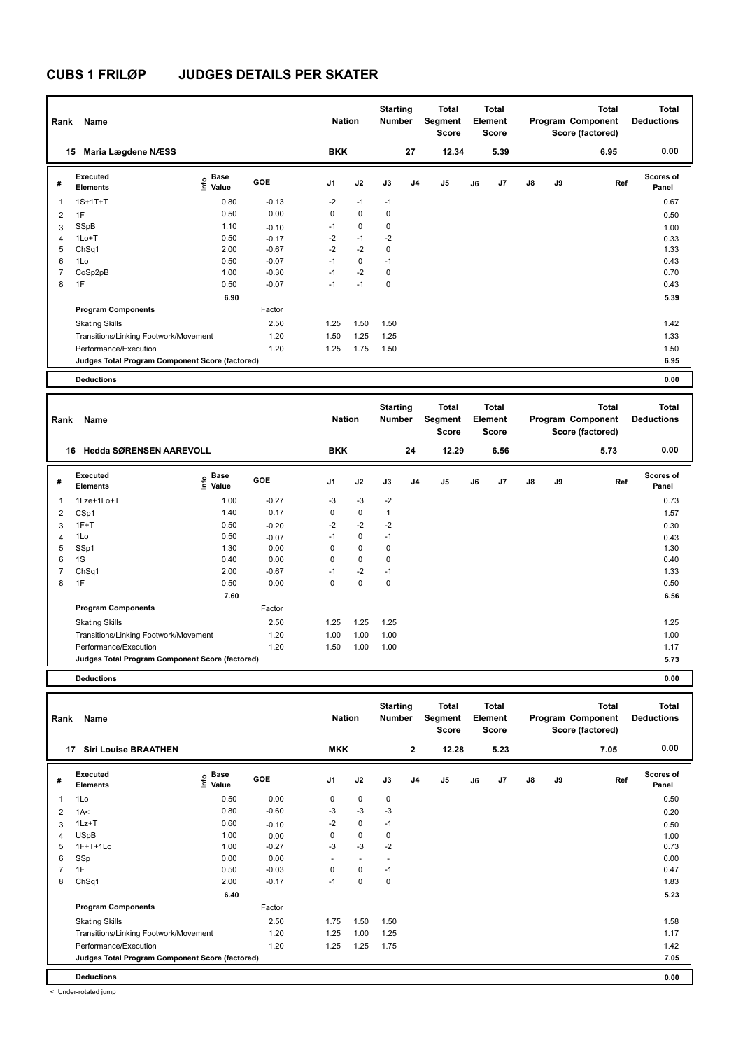| Rank                     | Name                                            | <b>Nation</b>             |         | <b>Starting</b><br><b>Number</b> |             | <b>Total</b><br>Segment<br><b>Score</b> |                | Total<br>Element<br><b>Score</b> |    |                | <b>Total</b><br>Program Component<br>Score (factored) | <b>Total</b><br><b>Deductions</b> |      |                           |
|--------------------------|-------------------------------------------------|---------------------------|---------|----------------------------------|-------------|-----------------------------------------|----------------|----------------------------------|----|----------------|-------------------------------------------------------|-----------------------------------|------|---------------------------|
|                          | Maria Lægdene NÆSS<br>15                        |                           |         | <b>BKK</b>                       |             |                                         | 27             | 12.34                            |    | 5.39           |                                                       |                                   | 6.95 | 0.00                      |
| #                        | Executed<br><b>Elements</b>                     | <b>Base</b><br>e<br>Value | GOE     | J <sub>1</sub>                   | J2          | J3                                      | J <sub>4</sub> | J5                               | J6 | J <sub>7</sub> | $\mathsf{J}8$                                         | J9                                | Ref  | <b>Scores of</b><br>Panel |
| $\overline{\phantom{a}}$ | $1S+1T+T$                                       | 0.80                      | $-0.13$ | $-2$                             | $-1$        | $-1$                                    |                |                                  |    |                |                                                       |                                   |      | 0.67                      |
| $\overline{2}$           | 1F                                              | 0.50                      | 0.00    | 0                                | $\mathbf 0$ | $\mathbf 0$                             |                |                                  |    |                |                                                       |                                   |      | 0.50                      |
| 3                        | SSpB                                            | 1.10                      | $-0.10$ | $-1$                             | $\mathbf 0$ | $\mathbf 0$                             |                |                                  |    |                |                                                       |                                   |      | 1.00                      |
| $\overline{4}$           | $1Lo+T$                                         | 0.50                      | $-0.17$ | $-2$                             | $-1$        | $-2$                                    |                |                                  |    |                |                                                       |                                   |      | 0.33                      |
| 5                        | ChSq1                                           | 2.00                      | $-0.67$ | $-2$                             | $-2$        | $\mathbf 0$                             |                |                                  |    |                |                                                       |                                   |      | 1.33                      |
| 6                        | 1Lo                                             | 0.50                      | $-0.07$ | $-1$                             | $\mathbf 0$ | $-1$                                    |                |                                  |    |                |                                                       |                                   |      | 0.43                      |
| $\overline{7}$           | CoSp2pB                                         | 1.00                      | $-0.30$ | $-1$                             | $-2$        | $\mathbf 0$                             |                |                                  |    |                |                                                       |                                   |      | 0.70                      |
| 8                        | 1F                                              | 0.50                      | $-0.07$ | $-1$                             | $-1$        | $\mathbf 0$                             |                |                                  |    |                |                                                       |                                   |      | 0.43                      |
|                          |                                                 | 6.90                      |         |                                  |             |                                         |                |                                  |    |                |                                                       |                                   |      | 5.39                      |
|                          | <b>Program Components</b>                       |                           | Factor  |                                  |             |                                         |                |                                  |    |                |                                                       |                                   |      |                           |
|                          | <b>Skating Skills</b>                           |                           | 2.50    | 1.25                             | 1.50        | 1.50                                    |                |                                  |    |                |                                                       |                                   |      | 1.42                      |
|                          | Transitions/Linking Footwork/Movement           |                           | 1.20    | 1.50                             | 1.25        | 1.25                                    |                |                                  |    |                |                                                       |                                   |      | 1.33                      |
|                          | Performance/Execution                           |                           | 1.20    | 1.25                             | 1.75        | 1.50                                    |                |                                  |    |                |                                                       |                                   |      | 1.50                      |
|                          | Judges Total Program Component Score (factored) |                           |         |                                  |             |                                         |                |                                  |    |                |                                                       |                                   |      | 6.95                      |
|                          | <b>Deductions</b>                               |                           |         |                                  |             |                                         |                |                                  |    |                |                                                       |                                   |      | 0.00                      |

| Rank           | Name                                            |                           |         | <b>Nation</b>  |             | <b>Starting</b><br><b>Number</b> |                | Total<br>Segment<br>Score |    | <b>Total</b><br>Element<br><b>Score</b> |               |    | <b>Total</b><br>Program Component<br>Score (factored) | <b>Total</b><br><b>Deductions</b> |
|----------------|-------------------------------------------------|---------------------------|---------|----------------|-------------|----------------------------------|----------------|---------------------------|----|-----------------------------------------|---------------|----|-------------------------------------------------------|-----------------------------------|
|                | <b>Hedda SØRENSEN AAREVOLL</b><br>16            |                           |         | <b>BKK</b>     |             |                                  | 24             | 12.29                     |    | 6.56                                    |               |    | 5.73                                                  | 0.00                              |
| #              | Executed<br><b>Elements</b>                     | Base<br>o Base<br>⊆ Value | GOE     | J <sub>1</sub> | J2          | J3                               | J <sub>4</sub> | J5                        | J6 | J7                                      | $\mathsf{J}8$ | J9 | Ref                                                   | <b>Scores of</b><br>Panel         |
| $\mathbf{1}$   | 1Lze+1Lo+T                                      | 1.00                      | $-0.27$ | $-3$           | $-3$        | $-2$                             |                |                           |    |                                         |               |    |                                                       | 0.73                              |
| 2              | CSp1                                            | 1.40                      | 0.17    | 0              | $\mathbf 0$ | $\mathbf{1}$                     |                |                           |    |                                         |               |    |                                                       | 1.57                              |
| 3              | $1F+T$                                          | 0.50                      | $-0.20$ | $-2$           | $-2$        | $-2$                             |                |                           |    |                                         |               |    |                                                       | 0.30                              |
| 4              | 1Lo                                             | 0.50                      | $-0.07$ | $-1$           | 0           | $-1$                             |                |                           |    |                                         |               |    |                                                       | 0.43                              |
| 5              | SSp1                                            | 1.30                      | 0.00    | 0              | $\mathbf 0$ | 0                                |                |                           |    |                                         |               |    |                                                       | 1.30                              |
| 6              | 1S                                              | 0.40                      | 0.00    | 0              | $\mathbf 0$ | 0                                |                |                           |    |                                         |               |    |                                                       | 0.40                              |
| $\overline{7}$ | ChSq1                                           | 2.00                      | $-0.67$ | $-1$           | $-2$        | $-1$                             |                |                           |    |                                         |               |    |                                                       | 1.33                              |
| 8              | 1F                                              | 0.50                      | 0.00    | 0              | $\mathbf 0$ | 0                                |                |                           |    |                                         |               |    |                                                       | 0.50                              |
|                |                                                 | 7.60                      |         |                |             |                                  |                |                           |    |                                         |               |    |                                                       | 6.56                              |
|                | <b>Program Components</b>                       |                           | Factor  |                |             |                                  |                |                           |    |                                         |               |    |                                                       |                                   |
|                | <b>Skating Skills</b>                           |                           | 2.50    | 1.25           | 1.25        | 1.25                             |                |                           |    |                                         |               |    |                                                       | 1.25                              |
|                | Transitions/Linking Footwork/Movement           |                           | 1.20    | 1.00           | 1.00        | 1.00                             |                |                           |    |                                         |               |    |                                                       | 1.00                              |
|                | Performance/Execution                           |                           | 1.20    | 1.50           | 1.00        | 1.00                             |                |                           |    |                                         |               |    |                                                       | 1.17                              |
|                | Judges Total Program Component Score (factored) |                           |         |                |             |                                  |                |                           |    |                                         |               |    |                                                       | 5.73                              |
|                |                                                 |                           |         |                |             |                                  |                |                           |    |                                         |               |    |                                                       |                                   |

**Deductions 0.00**

| Rank | Name                                            |                   |            | <b>Nation</b>            |                          | <b>Starting</b><br><b>Number</b> |                | <b>Total</b><br>Segment<br><b>Score</b> |    | <b>Total</b><br>Element<br><b>Score</b> |    |    | <b>Total</b><br>Program Component<br>Score (factored) | <b>Total</b><br><b>Deductions</b> |
|------|-------------------------------------------------|-------------------|------------|--------------------------|--------------------------|----------------------------------|----------------|-----------------------------------------|----|-----------------------------------------|----|----|-------------------------------------------------------|-----------------------------------|
| 17   | <b>Siri Louise BRAATHEN</b>                     |                   |            | <b>MKK</b>               |                          |                                  | $\mathbf{2}$   | 12.28                                   |    | 5.23                                    |    |    | 7.05                                                  | 0.00                              |
| #    | Executed<br><b>Elements</b>                     | e Base<br>⊆ Value | <b>GOE</b> | J <sub>1</sub>           | J2                       | J3                               | J <sub>4</sub> | J <sub>5</sub>                          | J6 | J7                                      | J8 | J9 | Ref                                                   | Scores of<br>Panel                |
| 1    | 1Lo                                             | 0.50              | 0.00       | 0                        | $\mathbf 0$              | 0                                |                |                                         |    |                                         |    |    |                                                       | 0.50                              |
| 2    | 1A<                                             | 0.80              | $-0.60$    | $-3$                     | $-3$                     | $-3$                             |                |                                         |    |                                         |    |    |                                                       | 0.20                              |
| 3    | $1Lz+T$                                         | 0.60              | $-0.10$    | $-2$                     | $\mathbf 0$              | $-1$                             |                |                                         |    |                                         |    |    |                                                       | 0.50                              |
| 4    | <b>USpB</b>                                     | 1.00              | 0.00       | 0                        | 0                        | 0                                |                |                                         |    |                                         |    |    |                                                       | 1.00                              |
| 5    | $1F+T+1Lo$                                      | 1.00              | $-0.27$    | $-3$                     | $-3$                     | $-2$                             |                |                                         |    |                                         |    |    |                                                       | 0.73                              |
| 6    | SSp                                             | 0.00              | 0.00       | $\overline{\phantom{a}}$ | $\overline{\phantom{a}}$ | $\overline{\phantom{a}}$         |                |                                         |    |                                         |    |    |                                                       | 0.00                              |
|      | 1F                                              | 0.50              | $-0.03$    | 0                        | 0                        | $-1$                             |                |                                         |    |                                         |    |    |                                                       | 0.47                              |
| 8    | ChSq1                                           | 2.00              | $-0.17$    | $-1$                     | $\mathbf 0$              | $\mathbf 0$                      |                |                                         |    |                                         |    |    |                                                       | 1.83                              |
|      |                                                 | 6.40              |            |                          |                          |                                  |                |                                         |    |                                         |    |    |                                                       | 5.23                              |
|      | <b>Program Components</b>                       |                   | Factor     |                          |                          |                                  |                |                                         |    |                                         |    |    |                                                       |                                   |
|      | <b>Skating Skills</b>                           |                   | 2.50       | 1.75                     | 1.50                     | 1.50                             |                |                                         |    |                                         |    |    |                                                       | 1.58                              |
|      | Transitions/Linking Footwork/Movement           |                   | 1.20       | 1.25                     | 1.00                     | 1.25                             |                |                                         |    |                                         |    |    |                                                       | 1.17                              |
|      | Performance/Execution                           |                   | 1.20       | 1.25                     | 1.25                     | 1.75                             |                |                                         |    |                                         |    |    |                                                       | 1.42                              |
|      | Judges Total Program Component Score (factored) |                   |            |                          |                          |                                  |                |                                         |    |                                         |    |    |                                                       | 7.05                              |
|      | <b>Deductions</b>                               |                   |            |                          |                          |                                  |                |                                         |    |                                         |    |    |                                                       | 0.00                              |

< Under-rotated jump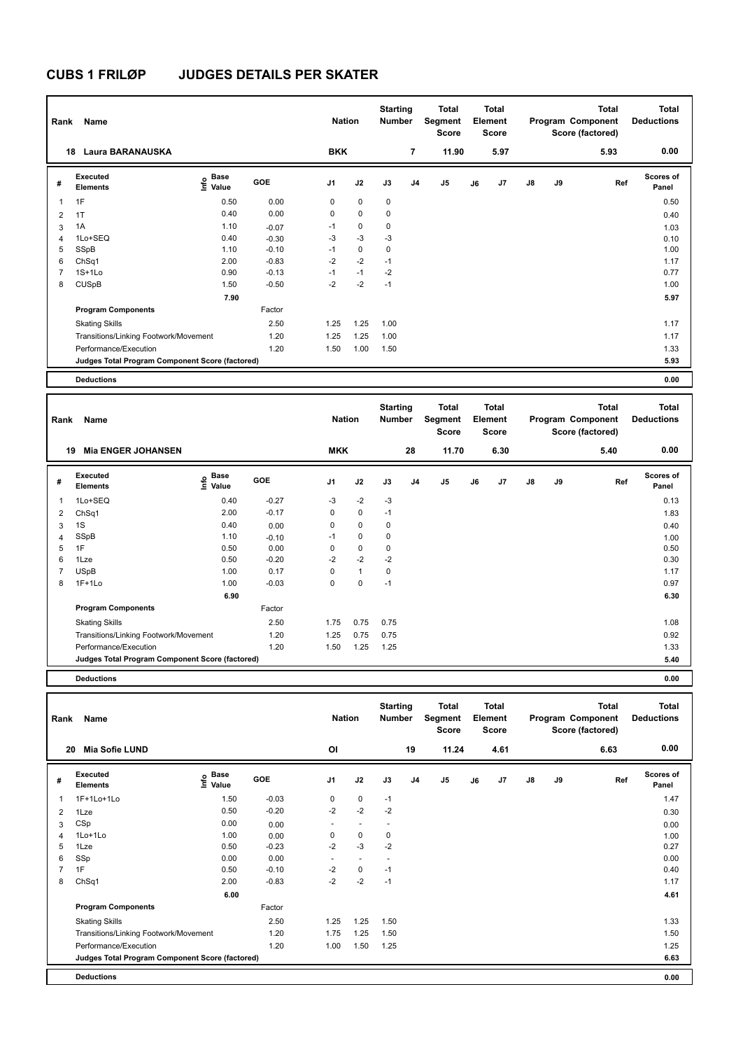| Rank           | Name                                            |                           | <b>Nation</b> |                | <b>Starting</b><br><b>Number</b> |             | Total<br>Segment<br><b>Score</b> |       | Total<br>Element<br><b>Score</b> |                |               | <b>Total</b><br>Program Component<br>Score (factored) | <b>Total</b><br><b>Deductions</b> |                           |
|----------------|-------------------------------------------------|---------------------------|---------------|----------------|----------------------------------|-------------|----------------------------------|-------|----------------------------------|----------------|---------------|-------------------------------------------------------|-----------------------------------|---------------------------|
|                | Laura BARANAUSKA<br>18                          |                           |               | <b>BKK</b>     |                                  |             | $\overline{7}$                   | 11.90 |                                  | 5.97           |               |                                                       | 5.93                              | 0.00                      |
| #              | Executed<br><b>Elements</b>                     | <b>Base</b><br>e<br>Value | GOE           | J <sub>1</sub> | J2                               | J3          | J <sub>4</sub>                   | J5    | J6                               | J <sub>7</sub> | $\mathsf{J}8$ | J9                                                    | Ref                               | <b>Scores of</b><br>Panel |
| $\overline{1}$ | 1F                                              | 0.50                      | 0.00          | 0              | $\mathbf 0$                      | $\mathbf 0$ |                                  |       |                                  |                |               |                                                       |                                   | 0.50                      |
| $\overline{2}$ | 1T                                              | 0.40                      | 0.00          | 0              | $\mathbf 0$                      | $\mathbf 0$ |                                  |       |                                  |                |               |                                                       |                                   | 0.40                      |
| 3              | 1A                                              | 1.10                      | $-0.07$       | $-1$           | 0                                | $\mathbf 0$ |                                  |       |                                  |                |               |                                                       |                                   | 1.03                      |
| $\overline{4}$ | 1Lo+SEQ                                         | 0.40                      | $-0.30$       | $-3$           | $-3$                             | $-3$        |                                  |       |                                  |                |               |                                                       |                                   | 0.10                      |
| 5              | SSpB                                            | 1.10                      | $-0.10$       | $-1$           | $\mathbf 0$                      | 0           |                                  |       |                                  |                |               |                                                       |                                   | 1.00                      |
| 6              | ChSq1                                           | 2.00                      | $-0.83$       | $-2$           | $-2$                             | $-1$        |                                  |       |                                  |                |               |                                                       |                                   | 1.17                      |
| $\overline{7}$ | $1S+1Lo$                                        | 0.90                      | $-0.13$       | $-1$           | $-1$                             | $-2$        |                                  |       |                                  |                |               |                                                       |                                   | 0.77                      |
| 8              | <b>CUSpB</b>                                    | 1.50                      | $-0.50$       | $-2$           | $-2$                             | $-1$        |                                  |       |                                  |                |               |                                                       |                                   | 1.00                      |
|                |                                                 | 7.90                      |               |                |                                  |             |                                  |       |                                  |                |               |                                                       |                                   | 5.97                      |
|                | <b>Program Components</b>                       |                           | Factor        |                |                                  |             |                                  |       |                                  |                |               |                                                       |                                   |                           |
|                | <b>Skating Skills</b>                           |                           | 2.50          | 1.25           | 1.25                             | 1.00        |                                  |       |                                  |                |               |                                                       |                                   | 1.17                      |
|                | Transitions/Linking Footwork/Movement           |                           | 1.20          | 1.25           | 1.25                             | 1.00        |                                  |       |                                  |                |               |                                                       |                                   | 1.17                      |
|                | Performance/Execution                           |                           | 1.20          | 1.50           | 1.00                             | 1.50        |                                  |       |                                  |                |               |                                                       |                                   | 1.33                      |
|                | Judges Total Program Component Score (factored) |                           |               |                |                                  |             |                                  |       |                                  |                |               |                                                       |                                   | 5.93                      |
|                | <b>Deductions</b>                               |                           |               |                |                                  |             |                                  |       |                                  |                |               |                                                       |                                   | 0.00                      |

| Rank | Name                                            |                    |            | <b>Nation</b>  |              | <b>Starting</b><br>Number |    | Total<br>Segment<br><b>Score</b> |       |    | <b>Total</b><br>Element<br>Score |               |    | <b>Total</b><br>Program Component<br>Score (factored) | <b>Total</b><br><b>Deductions</b> |
|------|-------------------------------------------------|--------------------|------------|----------------|--------------|---------------------------|----|----------------------------------|-------|----|----------------------------------|---------------|----|-------------------------------------------------------|-----------------------------------|
|      | <b>Mia ENGER JOHANSEN</b><br>19                 |                    |            | <b>MKK</b>     |              |                           | 28 |                                  | 11.70 |    | 6.30                             |               |    | 5.40                                                  | 0.00                              |
| #    | <b>Executed</b><br><b>Elements</b>              | $\frac{6}{5}$ Base | <b>GOE</b> | J <sub>1</sub> | J2           | J3                        | J4 | J5                               |       | J6 | J7                               | $\mathsf{J}8$ | J9 | Ref                                                   | <b>Scores of</b><br>Panel         |
| 1    | 1Lo+SEQ                                         | 0.40               | $-0.27$    | $-3$           | $-2$         | $-3$                      |    |                                  |       |    |                                  |               |    |                                                       | 0.13                              |
| 2    | ChSq1                                           | 2.00               | $-0.17$    | 0              | 0            | $-1$                      |    |                                  |       |    |                                  |               |    |                                                       | 1.83                              |
| 3    | 1S                                              | 0.40               | 0.00       | 0              | $\mathbf 0$  | 0                         |    |                                  |       |    |                                  |               |    |                                                       | 0.40                              |
| 4    | SSpB                                            | 1.10               | $-0.10$    | $-1$           | 0            | 0                         |    |                                  |       |    |                                  |               |    |                                                       | 1.00                              |
| 5    | 1F                                              | 0.50               | 0.00       | 0              | $\mathbf 0$  | 0                         |    |                                  |       |    |                                  |               |    |                                                       | 0.50                              |
| 6    | 1Lze                                            | 0.50               | $-0.20$    | $-2$           | $-2$         | $-2$                      |    |                                  |       |    |                                  |               |    |                                                       | 0.30                              |
| 7    | <b>USpB</b>                                     | 1.00               | 0.17       | 0              | $\mathbf{1}$ | $\mathbf 0$               |    |                                  |       |    |                                  |               |    |                                                       | 1.17                              |
| 8    | $1F+1Lo$                                        | 1.00               | $-0.03$    | 0              | 0            | $-1$                      |    |                                  |       |    |                                  |               |    |                                                       | 0.97                              |
|      |                                                 | 6.90               |            |                |              |                           |    |                                  |       |    |                                  |               |    |                                                       | 6.30                              |
|      | <b>Program Components</b>                       |                    | Factor     |                |              |                           |    |                                  |       |    |                                  |               |    |                                                       |                                   |
|      | <b>Skating Skills</b>                           |                    | 2.50       | 1.75           | 0.75         | 0.75                      |    |                                  |       |    |                                  |               |    |                                                       | 1.08                              |
|      | Transitions/Linking Footwork/Movement           |                    | 1.20       | 1.25           | 0.75         | 0.75                      |    |                                  |       |    |                                  |               |    |                                                       | 0.92                              |
|      | Performance/Execution                           |                    | 1.20       | 1.50           | 1.25         | 1.25                      |    |                                  |       |    |                                  |               |    |                                                       | 1.33                              |
|      | Judges Total Program Component Score (factored) |                    |            |                |              |                           |    |                                  |       |    |                                  |               |    |                                                       | 5.40                              |
|      |                                                 |                    |            |                |              |                           |    |                                  |       |    |                                  |               |    |                                                       |                                   |

| Rank | Name                                            |                                           |            | <b>Nation</b>  |                          | <b>Starting</b><br><b>Number</b> |                | <b>Total</b><br>Segment<br><b>Score</b> |    | <b>Total</b><br>Element<br><b>Score</b> |               |    | <b>Total</b><br>Program Component<br>Score (factored) | <b>Total</b><br><b>Deductions</b> |
|------|-------------------------------------------------|-------------------------------------------|------------|----------------|--------------------------|----------------------------------|----------------|-----------------------------------------|----|-----------------------------------------|---------------|----|-------------------------------------------------------|-----------------------------------|
| 20   | <b>Mia Sofie LUND</b>                           |                                           |            | OI             |                          |                                  | 19             | 11.24                                   |    | 4.61                                    |               |    | 6.63                                                  | 0.00                              |
| #    | Executed<br><b>Elements</b>                     | $\frac{e}{E}$ Base<br>$\frac{e}{E}$ Value | <b>GOE</b> | J <sub>1</sub> | J2                       | J3                               | J <sub>4</sub> | J5                                      | J6 | J7                                      | $\mathsf{J}8$ | J9 | Ref                                                   | <b>Scores of</b><br>Panel         |
| 1    | 1F+1Lo+1Lo                                      | 1.50                                      | $-0.03$    | 0              | $\mathbf 0$              | $-1$                             |                |                                         |    |                                         |               |    |                                                       | 1.47                              |
| 2    | 1Lze                                            | 0.50                                      | $-0.20$    | $-2$           | $-2$                     | $-2$                             |                |                                         |    |                                         |               |    |                                                       | 0.30                              |
| 3    | CSp                                             | 0.00                                      | 0.00       | ٠              | $\overline{\phantom{a}}$ |                                  |                |                                         |    |                                         |               |    |                                                       | 0.00                              |
| 4    | 1Lo+1Lo                                         | 1.00                                      | 0.00       | 0              | $\pmb{0}$                | 0                                |                |                                         |    |                                         |               |    |                                                       | 1.00                              |
| 5    | 1Lze                                            | 0.50                                      | $-0.23$    | $-2$           | $-3$                     | $-2$                             |                |                                         |    |                                         |               |    |                                                       | 0.27                              |
| 6    | SSp                                             | 0.00                                      | 0.00       | ٠              | $\sim$                   |                                  |                |                                         |    |                                         |               |    |                                                       | 0.00                              |
|      | 1F                                              | 0.50                                      | $-0.10$    | $-2$           | $\mathbf 0$              | $-1$                             |                |                                         |    |                                         |               |    |                                                       | 0.40                              |
| 8    | ChSq1                                           | 2.00                                      | $-0.83$    | $-2$           | $-2$                     | $-1$                             |                |                                         |    |                                         |               |    |                                                       | 1.17                              |
|      |                                                 | 6.00                                      |            |                |                          |                                  |                |                                         |    |                                         |               |    |                                                       | 4.61                              |
|      | <b>Program Components</b>                       |                                           | Factor     |                |                          |                                  |                |                                         |    |                                         |               |    |                                                       |                                   |
|      | <b>Skating Skills</b>                           |                                           | 2.50       | 1.25           | 1.25                     | 1.50                             |                |                                         |    |                                         |               |    |                                                       | 1.33                              |
|      | Transitions/Linking Footwork/Movement           |                                           | 1.20       | 1.75           | 1.25                     | 1.50                             |                |                                         |    |                                         |               |    |                                                       | 1.50                              |
|      | Performance/Execution                           |                                           | 1.20       | 1.00           | 1.50                     | 1.25                             |                |                                         |    |                                         |               |    |                                                       | 1.25                              |
|      | Judges Total Program Component Score (factored) |                                           |            |                |                          |                                  |                |                                         |    |                                         |               |    |                                                       | 6.63                              |
|      | <b>Deductions</b>                               |                                           |            |                |                          |                                  |                |                                         |    |                                         |               |    |                                                       | 0.00                              |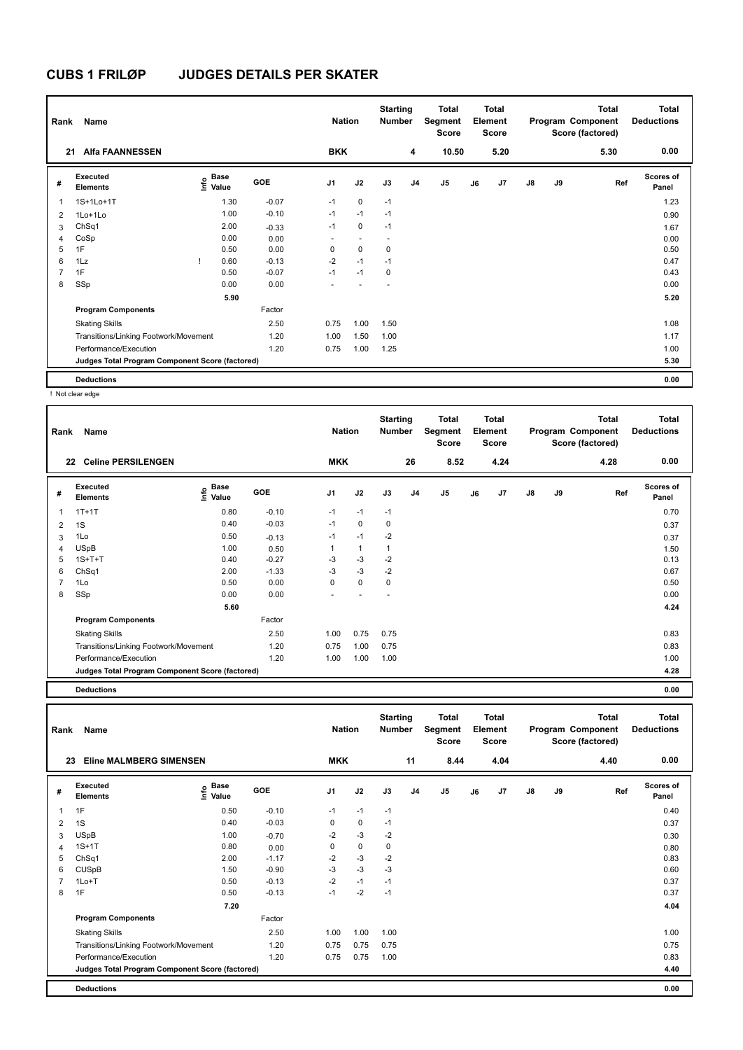| Rank           | Name                                            |      |                      |         | <b>Nation</b>            |                          | <b>Starting</b><br><b>Number</b> |                | <b>Total</b><br>Segment<br><b>Score</b> |    | <b>Total</b><br>Element<br><b>Score</b> |               |    | <b>Total</b><br>Program Component<br>Score (factored) | <b>Total</b><br><b>Deductions</b> |
|----------------|-------------------------------------------------|------|----------------------|---------|--------------------------|--------------------------|----------------------------------|----------------|-----------------------------------------|----|-----------------------------------------|---------------|----|-------------------------------------------------------|-----------------------------------|
| 21             | <b>Alfa FAANNESSEN</b>                          |      |                      |         | <b>BKK</b>               |                          |                                  | 4              | 10.50                                   |    | 5.20                                    |               |    | 5.30                                                  | 0.00                              |
| #              | Executed<br><b>Elements</b>                     | Info | <b>Base</b><br>Value | GOE     | J <sub>1</sub>           | J2                       | J3                               | J <sub>4</sub> | J <sub>5</sub>                          | J6 | J7                                      | $\mathsf{J}8$ | J9 | Ref                                                   | <b>Scores of</b><br>Panel         |
| 1              | 1S+1Lo+1T                                       |      | 1.30                 | $-0.07$ | $-1$                     | $\mathbf 0$              | $-1$                             |                |                                         |    |                                         |               |    |                                                       | 1.23                              |
| 2              | $1$ Lo $+1$ Lo                                  |      | 1.00                 | $-0.10$ | $-1$                     | $-1$                     | $-1$                             |                |                                         |    |                                         |               |    |                                                       | 0.90                              |
| 3              | ChSq1                                           |      | 2.00                 | $-0.33$ | $-1$                     | $\mathbf 0$              | $-1$                             |                |                                         |    |                                         |               |    |                                                       | 1.67                              |
| 4              | CoSp                                            |      | 0.00                 | 0.00    | $\overline{\phantom{0}}$ | $\overline{\phantom{a}}$ | $\overline{\phantom{a}}$         |                |                                         |    |                                         |               |    |                                                       | 0.00                              |
| 5              | 1F                                              |      | 0.50                 | 0.00    | 0                        | $\mathbf 0$              | 0                                |                |                                         |    |                                         |               |    |                                                       | 0.50                              |
| 6              | 1Lz                                             |      | 0.60                 | $-0.13$ | $-2$                     | $-1$                     | $-1$                             |                |                                         |    |                                         |               |    |                                                       | 0.47                              |
| $\overline{7}$ | 1F                                              |      | 0.50                 | $-0.07$ | $-1$                     | $-1$                     | 0                                |                |                                         |    |                                         |               |    |                                                       | 0.43                              |
| 8              | SSp                                             |      | 0.00                 | 0.00    | ٠                        | ٠                        | ٠                                |                |                                         |    |                                         |               |    |                                                       | 0.00                              |
|                |                                                 |      | 5.90                 |         |                          |                          |                                  |                |                                         |    |                                         |               |    |                                                       | 5.20                              |
|                | <b>Program Components</b>                       |      |                      | Factor  |                          |                          |                                  |                |                                         |    |                                         |               |    |                                                       |                                   |
|                | <b>Skating Skills</b>                           |      |                      | 2.50    | 0.75                     | 1.00                     | 1.50                             |                |                                         |    |                                         |               |    |                                                       | 1.08                              |
|                | Transitions/Linking Footwork/Movement           |      |                      | 1.20    | 1.00                     | 1.50                     | 1.00                             |                |                                         |    |                                         |               |    |                                                       | 1.17                              |
|                | Performance/Execution                           |      |                      | 1.20    | 0.75                     | 1.00                     | 1.25                             |                |                                         |    |                                         |               |    |                                                       | 1.00                              |
|                | Judges Total Program Component Score (factored) |      |                      |         |                          |                          |                                  |                |                                         |    |                                         |               |    |                                                       | 5.30                              |
|                | <b>Deductions</b>                               |      |                      |         |                          |                          |                                  |                |                                         |    |                                         |               |    |                                                       | 0.00                              |

! Not clear edge

| Rank           | Name                                            |                              |            | <b>Nation</b>  |      | <b>Starting</b><br><b>Number</b> |                | Total<br>Segment<br><b>Score</b> |    | <b>Total</b><br>Element<br><b>Score</b> |               |    | <b>Total</b><br>Program Component<br>Score (factored) | <b>Total</b><br><b>Deductions</b> |
|----------------|-------------------------------------------------|------------------------------|------------|----------------|------|----------------------------------|----------------|----------------------------------|----|-----------------------------------------|---------------|----|-------------------------------------------------------|-----------------------------------|
|                | <b>Celine PERSILENGEN</b><br>22                 |                              |            | <b>MKK</b>     |      |                                  | 26             | 8.52                             |    | 4.24                                    |               |    | 4.28                                                  | 0.00                              |
| #              | Executed<br><b>Elements</b>                     | <b>Base</b><br>lnfo<br>Value | <b>GOE</b> | J <sub>1</sub> | J2   | J3                               | J <sub>4</sub> | J <sub>5</sub>                   | J6 | J7                                      | $\mathsf{J}8$ | J9 | Ref                                                   | <b>Scores of</b><br>Panel         |
| 1              | $1T+1T$                                         | 0.80                         | $-0.10$    | $-1$           | $-1$ | $-1$                             |                |                                  |    |                                         |               |    |                                                       | 0.70                              |
| $\overline{2}$ | 1S                                              | 0.40                         | $-0.03$    | $-1$           | 0    | 0                                |                |                                  |    |                                         |               |    |                                                       | 0.37                              |
| 3              | 1Lo                                             | 0.50                         | $-0.13$    | $-1$           | $-1$ | $-2$                             |                |                                  |    |                                         |               |    |                                                       | 0.37                              |
| 4              | <b>USpB</b>                                     | 1.00                         | 0.50       | 1              | 1    | 1                                |                |                                  |    |                                         |               |    |                                                       | 1.50                              |
| 5              | $1S+T+T$                                        | 0.40                         | $-0.27$    | $-3$           | $-3$ | $-2$                             |                |                                  |    |                                         |               |    |                                                       | 0.13                              |
| 6              | ChSq1                                           | 2.00                         | $-1.33$    | $-3$           | $-3$ | $-2$                             |                |                                  |    |                                         |               |    |                                                       | 0.67                              |
| 7              | 1Lo                                             | 0.50                         | 0.00       | 0              | 0    | 0                                |                |                                  |    |                                         |               |    |                                                       | 0.50                              |
| 8              | SSp                                             | 0.00                         | 0.00       |                |      |                                  |                |                                  |    |                                         |               |    |                                                       | 0.00                              |
|                |                                                 | 5.60                         |            |                |      |                                  |                |                                  |    |                                         |               |    |                                                       | 4.24                              |
|                | <b>Program Components</b>                       |                              | Factor     |                |      |                                  |                |                                  |    |                                         |               |    |                                                       |                                   |
|                | <b>Skating Skills</b>                           |                              | 2.50       | 1.00           | 0.75 | 0.75                             |                |                                  |    |                                         |               |    |                                                       | 0.83                              |
|                | Transitions/Linking Footwork/Movement           |                              | 1.20       | 0.75           | 1.00 | 0.75                             |                |                                  |    |                                         |               |    |                                                       | 0.83                              |
|                | Performance/Execution                           |                              | 1.20       | 1.00           | 1.00 | 1.00                             |                |                                  |    |                                         |               |    |                                                       | 1.00                              |
|                | Judges Total Program Component Score (factored) |                              |            |                |      |                                  |                |                                  |    |                                         |               |    |                                                       | 4.28                              |

**Deductions 0.00**

**Total Deductions Total Program Component Score (factored) Total Element Segment Score Total Score Starting Rank Name Nation Number # Executed Elements Base Value GOE J1 J2 J3 J4 J5 J6 J7 J8 J9 Scores of Panel** 1 0.50 -0.10 -1 -1 -1 **Ref**  سماء المسلمة المسلمة المسلمة المسلمة المسلمة المسلمة المسلمة المسلمة المسلمة المسلمة المسلمة المسلمة المسلمة ا<br>1F 1 0.50 -0.10 -1 -1 -1<br>1F 1 0.40  **23 Eline MALMBERG SIMENSEN MKK 11 8.44 4.04 4.40 0.00** 2 1S 0.40 -0.03 0 0 -1 0.37 0.37  $3$  USpB  $1.00$   $-0.70$   $-2$   $-3$   $-2$   $-3$   $-2$   $0.30$ 4 1S+1T 0.80 0.00 0 0 0 0 0 0 0 0 0.80 0.80 5 ChSq1 2.00 -1.17 -2 -3 -2 0.83 6 CUSpB 1.50 -0.90 -3 -3 -3 0.60 7 1Lo+T 0.50 -0.13 -2 -1 -1 0.37 8 1F 0.50 -0.13 -1 -2 -1 0.37  **7.20 4.04 Program Components**  Skating Skills 1.00 1.00 1.00 1.00 Factor 2.50 1.00 Transitions/Linking Footwork/Movement 1.20 0.75 0.75 0.75 0.75 Performance/Execution 0.83 0.83 0.75 0.75 1.00 0.75 0.75 1.00 0.83 **Deductions 0.00 Judges Total Program Component Score (factored) 4.40**